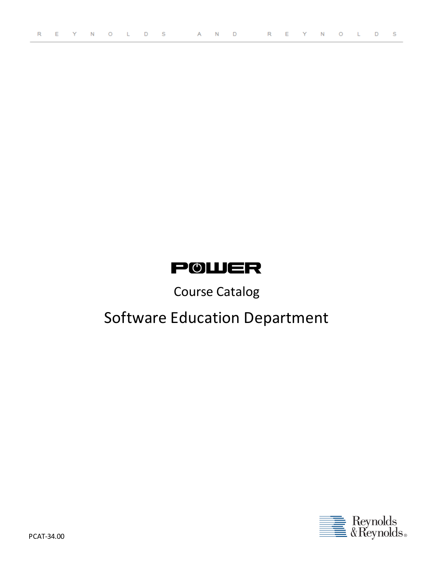## **POWER**

## Course Catalog

# Software Education Department

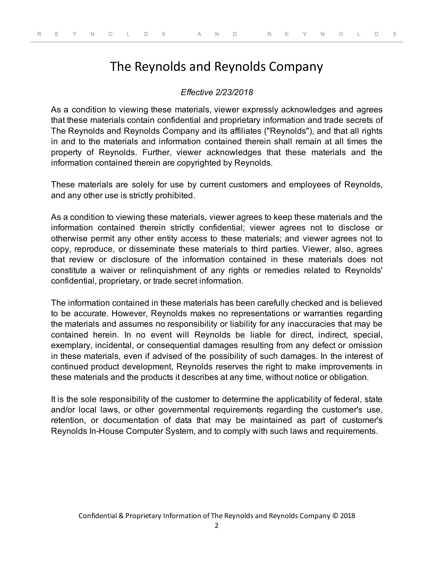## The Reynolds and Reynolds Company

### *Effective 2/23/2018*

As a condition to viewing these materials, viewer expressly acknowledges and agrees that these materials contain confidential and proprietary information and trade secrets of The Reynolds and Reynolds Company and its affiliates ("Reynolds"), and that all rights in and to the materials and information contained therein shall remain at all times the property of Reynolds. Further, viewer acknowledges that these materials and the information contained therein are copyrighted by Reynolds.

These materials are solely for use by current customers and employees of Reynolds, and any other use is strictly prohibited.

As a condition to viewing these materials, viewer agrees to keep these materials and the information contained therein strictly confidential; viewer agrees not to disclose or otherwise permit any other entity access to these materials; and viewer agrees not to copy, reproduce, or disseminate these materials to third parties. Viewer, also, agrees that review or disclosure of the information contained in these materials does not constitute a waiver or relinquishment of any rights or remedies related to Reynolds' confidential, proprietary, or trade secret information.

The information contained in these materials has been carefully checked and is believed to be accurate. However, Reynolds makes no representations or warranties regarding the materials and assumes no responsibility or liability for any inaccuracies that may be contained herein. In no event will Reynolds be liable for direct, indirect, special, exemplary, incidental, or consequential damages resulting from any defect or omission in these materials, even if advised of the possibility of such damages. In the interest of continued product development, Reynolds reserves the right to make improvements in these materials and the products it describes at any time, without notice or obligation.

It is the sole responsibility of the customer to determine the applicability of federal, state and/or local laws, or other governmental requirements regarding the customer's use, retention, or documentation of data that may be maintained as part of customer's Reynolds In-House Computer System, and to comply with such laws and requirements.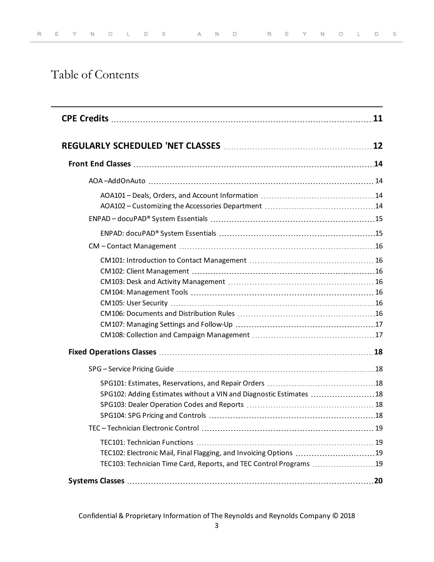## Table of Contents

|                                                                     | 11 |
|---------------------------------------------------------------------|----|
|                                                                     |    |
|                                                                     |    |
|                                                                     |    |
|                                                                     |    |
|                                                                     |    |
|                                                                     |    |
|                                                                     |    |
|                                                                     |    |
|                                                                     |    |
|                                                                     |    |
|                                                                     |    |
|                                                                     |    |
|                                                                     |    |
|                                                                     |    |
|                                                                     |    |
|                                                                     |    |
|                                                                     |    |
|                                                                     |    |
|                                                                     |    |
| SPG102: Adding Estimates without a VIN and Diagnostic Estimates  18 |    |
|                                                                     |    |
|                                                                     |    |
|                                                                     |    |
|                                                                     |    |
| TEC102: Electronic Mail, Final Flagging, and Invoicing Options 19   |    |
| TEC103: Technician Time Card, Reports, and TEC Control Programs 19  |    |
|                                                                     |    |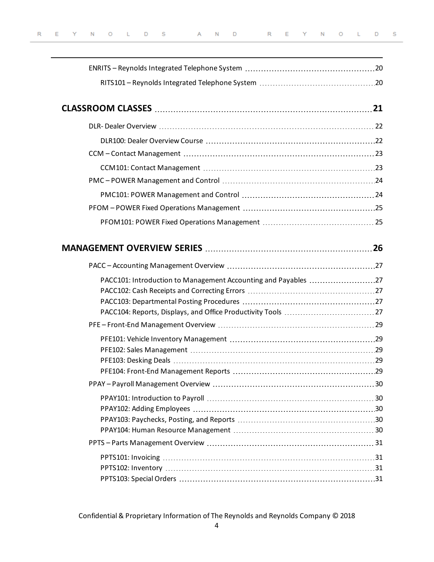| PACC101: Introduction to Management Accounting and Payables 27 |  |
|----------------------------------------------------------------|--|
|                                                                |  |
|                                                                |  |
|                                                                |  |
|                                                                |  |
|                                                                |  |
|                                                                |  |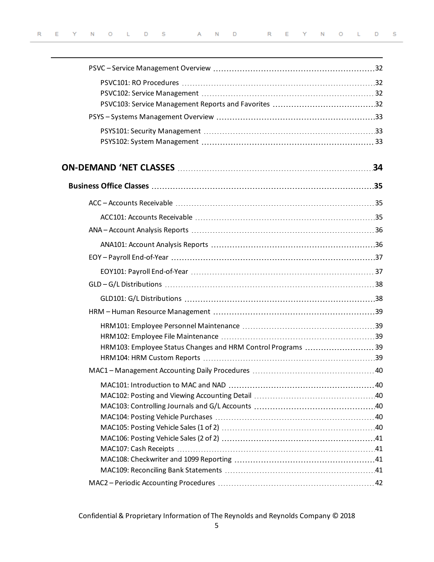| HRM103: Employee Status Changes and HRM Control Programs  39 |  |
|--------------------------------------------------------------|--|
|                                                              |  |
|                                                              |  |
|                                                              |  |
|                                                              |  |
|                                                              |  |
|                                                              |  |
|                                                              |  |
|                                                              |  |
|                                                              |  |
|                                                              |  |
|                                                              |  |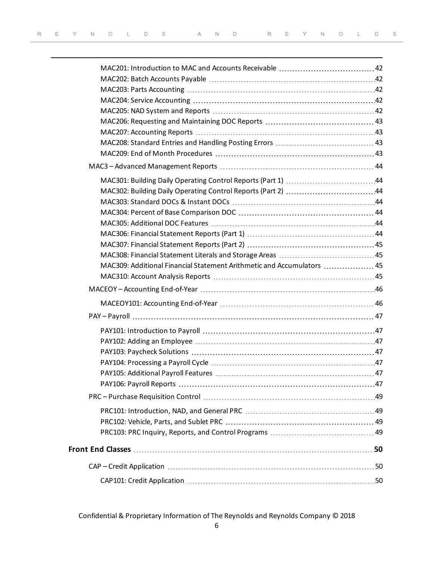| MAC309: Additional Financial Statement Arithmetic and Accumulators  45 |  |
|------------------------------------------------------------------------|--|
|                                                                        |  |
|                                                                        |  |
|                                                                        |  |
|                                                                        |  |
|                                                                        |  |
|                                                                        |  |
|                                                                        |  |
|                                                                        |  |
|                                                                        |  |
|                                                                        |  |
|                                                                        |  |
|                                                                        |  |
|                                                                        |  |
|                                                                        |  |
|                                                                        |  |
| CAP – Credit Application ………………………………………………………………………………50              |  |
|                                                                        |  |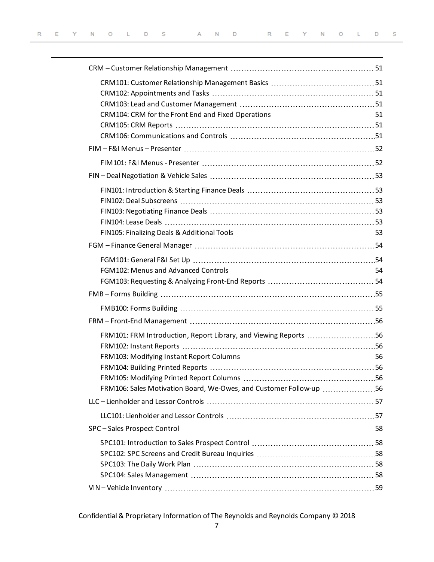| FRM101: FRM Introduction, Report Library, and Viewing Reports 56   |  |
|--------------------------------------------------------------------|--|
|                                                                    |  |
|                                                                    |  |
|                                                                    |  |
| FRM106: Sales Motivation Board, We-Owes, and Customer Follow-up 56 |  |
|                                                                    |  |
|                                                                    |  |
|                                                                    |  |
|                                                                    |  |
|                                                                    |  |
|                                                                    |  |
|                                                                    |  |
|                                                                    |  |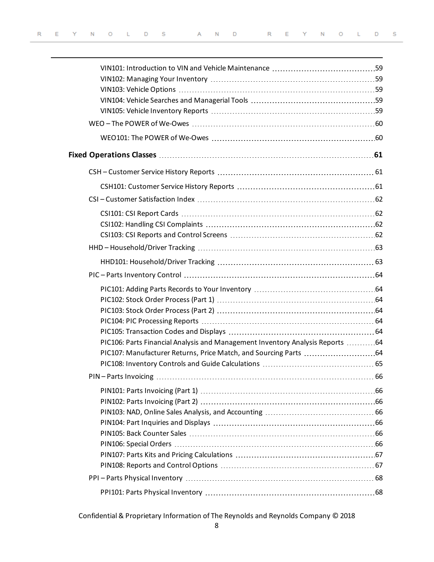| PIC106: Parts Financial Analysis and Management Inventory Analysis Reports 64 |  |
|-------------------------------------------------------------------------------|--|
| PIC107: Manufacturer Returns, Price Match, and Sourcing Parts  64             |  |
|                                                                               |  |
| PIN-Parts Invoicing                                                           |  |
|                                                                               |  |
|                                                                               |  |
|                                                                               |  |
|                                                                               |  |
|                                                                               |  |
|                                                                               |  |
|                                                                               |  |
|                                                                               |  |
|                                                                               |  |
|                                                                               |  |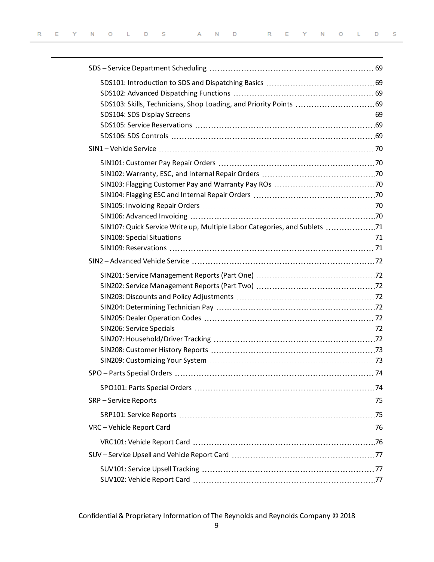| SIN107: Quick Service Write up, Multiple Labor Categories, and Sublets 71 |  |
|---------------------------------------------------------------------------|--|
|                                                                           |  |
|                                                                           |  |
|                                                                           |  |
|                                                                           |  |
|                                                                           |  |
|                                                                           |  |
|                                                                           |  |
|                                                                           |  |
|                                                                           |  |
|                                                                           |  |
|                                                                           |  |
|                                                                           |  |
|                                                                           |  |
|                                                                           |  |
|                                                                           |  |
|                                                                           |  |
|                                                                           |  |
|                                                                           |  |
|                                                                           |  |
|                                                                           |  |
|                                                                           |  |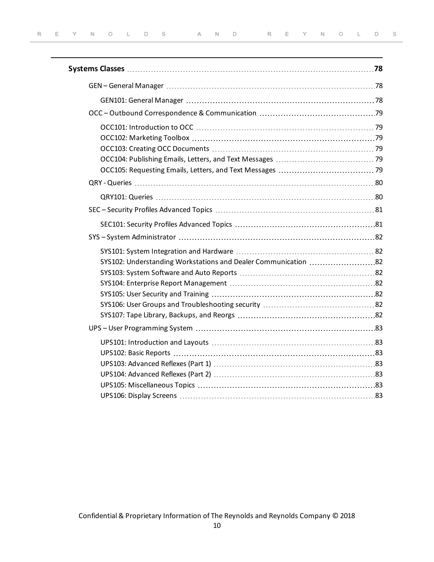| SYS102: Understanding Workstations and Dealer Communication 82 |  |
|----------------------------------------------------------------|--|
|                                                                |  |
|                                                                |  |
|                                                                |  |
|                                                                |  |
|                                                                |  |
|                                                                |  |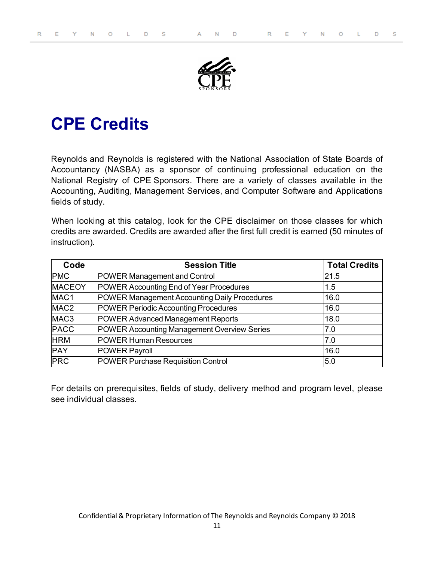

# <span id="page-10-0"></span>**CPE Credits**

Reynolds and Reynolds is registered with the National Association of State Boards of Accountancy (NASBA) as a sponsor of continuing professional education on the National Registry of CPE Sponsors. There are a variety of classes available in the Accounting, Auditing, Management Services, and Computer Software and Applications fields of study.

When looking at this catalog, look for the CPE disclaimer on those classes for which credits are awarded. Credits are awarded after the first full credit is earned (50 minutes of instruction).

| Code             | <b>Session Title</b>                         | <b>Total Credits</b> |
|------------------|----------------------------------------------|----------------------|
| <b>PMC</b>       | POWER Management and Control                 | 21.5                 |
| <b>MACEOY</b>    | POWER Accounting End of Year Procedures      | 1.5                  |
| MAC <sub>1</sub> | POWER Management Accounting Daily Procedures | 16.0                 |
| MAC <sub>2</sub> | POWER Periodic Accounting Procedures         | 16.0                 |
| MAC <sub>3</sub> | POWER Advanced Management Reports            | 18.0                 |
| <b>PACC</b>      | POWER Accounting Management Overview Series  | 7.0                  |
| <b>HRM</b>       | <b>POWER Human Resources</b>                 | 7.0                  |
| <b>PAY</b>       | POWER Payroll                                | 16.0                 |
| <b>PRC</b>       | POWER Purchase Requisition Control           | 5.0                  |

For details on prerequisites, fields of study, delivery method and program level, please see individual classes.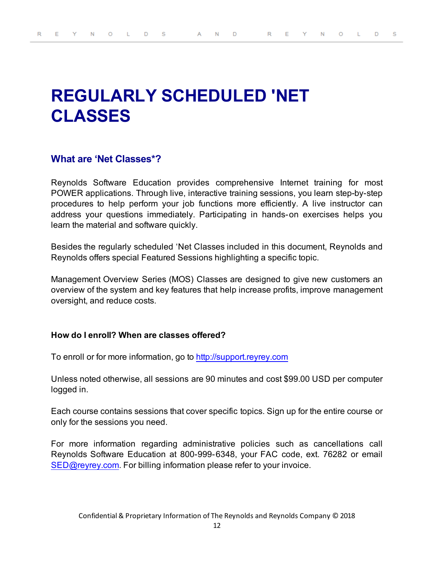# <span id="page-11-0"></span>**REGULARLY SCHEDULED 'NET CLASSES**

## **What are 'Net Classes\*?**

Reynolds Software Education provides comprehensive Internet training for most POWER applications. Through live, interactive training sessions, you learn step-by-step procedures to help perform your job functions more efficiently. A live instructor can address your questions immediately. Participating in hands-on exercises helps you learn the material and software quickly.

Besides the regularly scheduled 'Net Classes included in this document, Reynolds and Reynolds offers special Featured Sessions highlighting a specific topic.

Management Overview Series (MOS) Classes are designed to give new customers an overview of the system and key features that help increase profits, improve management oversight, and reduce costs.

#### **How do I enroll? When are classes offered?**

To enroll or for more information, go to [http://support.reyrey.com](http://support.reyrey.com/)

Unless noted otherwise, all sessions are 90 minutes and cost \$99.00 USD per computer logged in.

Each course contains sessions that cover specific topics. Sign up for the entire course or only for the sessions you need.

For more information regarding administrative policies such as cancellations call Reynolds Software Education at 800-999-6348, your FAC code, ext. 76282 or email [SED@reyrey.com](mailto:SED@reyrey.com). For billing information please refer to your invoice.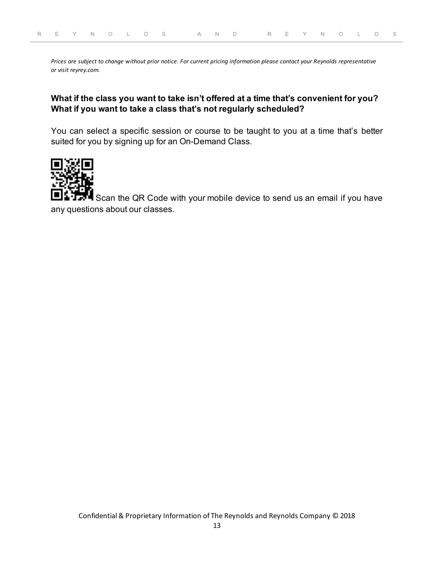*Prices are subject to change without prior notice. For current pricing information please contact your Reynolds representative or visit reyrey.com.*

## **What if the class you want to take isn't offered at a time that's convenient for you? What if you want to take a class that's not regularly scheduled?**

You can select a specific session or course to be taught to you at a time that's better suited for you by signing up for an On-Demand Class.



Scan the QR Code with your mobile device to send us an email if you have any questions about our classes.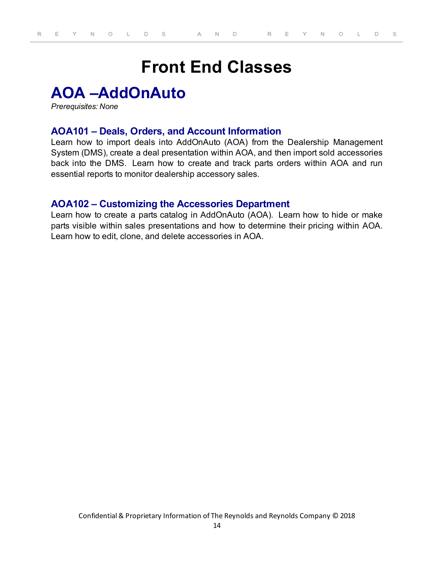# **Front End Classes**

## <span id="page-13-1"></span><span id="page-13-0"></span>**AOA –AddOnAuto**

<span id="page-13-2"></span>*Prerequisites: None*

## **AOA101 – Deals, Orders, and Account Information**

Learn how to import deals into AddOnAuto (AOA) from the Dealership Management System (DMS), create a deal presentation within AOA, and then import sold accessories back into the DMS. Learn how to create and track parts orders within AOA and run essential reports to monitor dealership accessory sales.

## <span id="page-13-3"></span>**AOA102 – Customizing the Accessories Department**

Learn how to create a parts catalog in AddOnAuto (AOA). Learn how to hide or make parts visible within sales presentations and how to determine their pricing within AOA. Learn how to edit, clone, and delete accessories in AOA.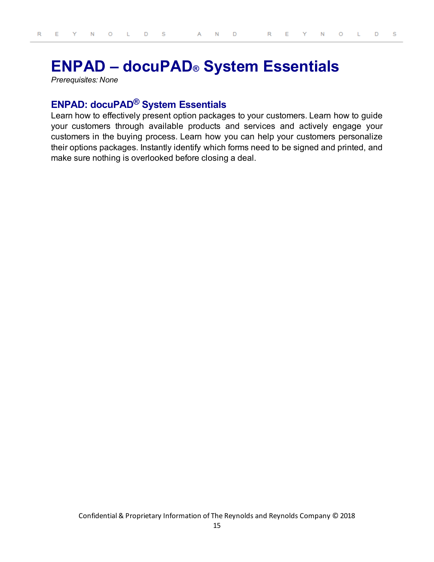## <span id="page-14-0"></span>**ENPAD – docuPAD® System Essentials**

<span id="page-14-1"></span>*Prerequisites: None*

## **ENPAD: docuPAD® System Essentials**

Learn how to effectively present option packages to your customers. Learn how to guide your customers through available products and services and actively engage your customers in the buying process. Learn how you can help your customers personalize their options packages. Instantly identify which forms need to be signed and printed, and make sure nothing is overlooked before closing a deal.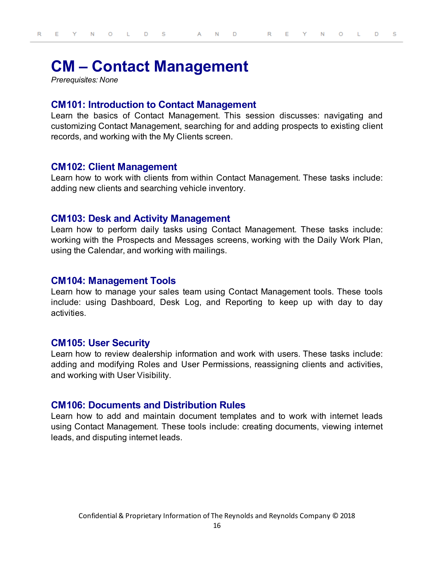## <span id="page-15-0"></span>**CM – Contact Management**

<span id="page-15-1"></span>*Prerequisites: None*

#### **CM101: Introduction to Contact Management**

Learn the basics of Contact Management. This session discusses: navigating and customizing Contact Management, searching for and adding prospects to existing client records, and working with the My Clients screen.

#### <span id="page-15-2"></span>**CM102: Client Management**

Learn how to work with clients from within Contact Management. These tasks include: adding new clients and searching vehicle inventory.

#### <span id="page-15-3"></span>**CM103: Desk and Activity Management**

Learn how to perform daily tasks using Contact Management. These tasks include: working with the Prospects and Messages screens, working with the Daily Work Plan, using the Calendar, and working with mailings.

#### <span id="page-15-4"></span>**CM104: Management Tools**

Learn how to manage your sales team using Contact Management tools. These tools include: using Dashboard, Desk Log, and Reporting to keep up with day to day activities.

#### <span id="page-15-5"></span>**CM105: User Security**

Learn how to review dealership information and work with users. These tasks include: adding and modifying Roles and User Permissions, reassigning clients and activities, and working with User Visibility.

#### <span id="page-15-6"></span>**CM106: Documents and Distribution Rules**

Learn how to add and maintain document templates and to work with internet leads using Contact Management. These tools include: creating documents, viewing internet leads, and disputing internet leads.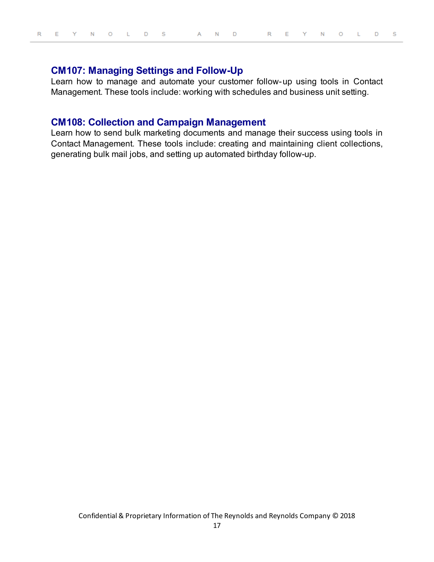## <span id="page-16-0"></span>**CM107: Managing Settings and Follow-Up**

Learn how to manage and automate your customer follow-up using tools in Contact Management. These tools include: working with schedules and business unit setting.

## <span id="page-16-1"></span>**CM108: Collection and Campaign Management**

Learn how to send bulk marketing documents and manage their success using tools in Contact Management. These tools include: creating and maintaining client collections, generating bulk mail jobs, and setting up automated birthday follow-up.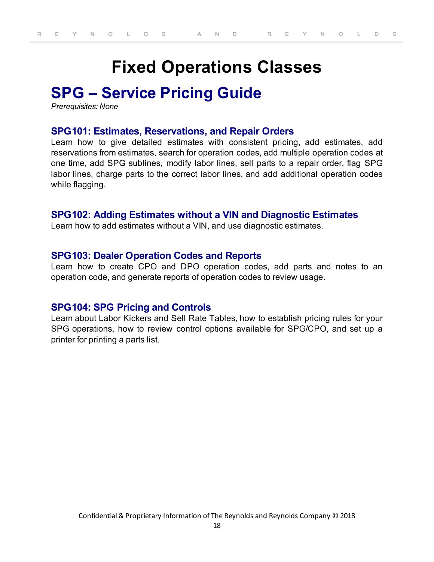# **Fixed Operations Classes**

## <span id="page-17-1"></span><span id="page-17-0"></span>**SPG – Service Pricing Guide**

<span id="page-17-2"></span>*Prerequisites: None*

### **SPG101: Estimates, Reservations, and Repair Orders**

Learn how to give detailed estimates with consistent pricing, add estimates, add reservations from estimates, search for operation codes, add multiple operation codes at one time, add SPG sublines, modify labor lines, sell parts to a repair order, flag SPG labor lines, charge parts to the correct labor lines, and add additional operation codes while flagging.

### <span id="page-17-3"></span>**SPG102: Adding Estimates without a VIN and Diagnostic Estimates**

Learn how to add estimates without a VIN, and use diagnostic estimates.

### <span id="page-17-4"></span>**SPG103: Dealer Operation Codes and Reports**

Learn how to create CPO and DPO operation codes, add parts and notes to an operation code, and generate reports of operation codes to review usage.

### <span id="page-17-5"></span>**SPG104: SPG Pricing and Controls**

Learn about Labor Kickers and Sell Rate Tables, how to establish pricing rules for your SPG operations, how to review control options available for SPG/CPO, and set up a printer for printing a parts list.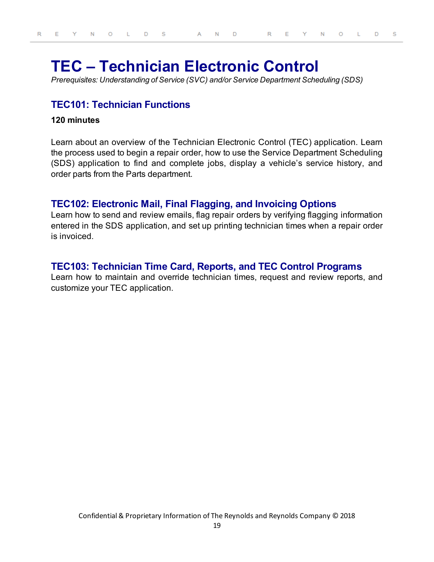## <span id="page-18-0"></span>**TEC – Technician Electronic Control**

<span id="page-18-1"></span>*Prerequisites: Understanding of Service (SVC) and/or Service Department Scheduling (SDS)*

## **TEC101: Technician Functions**

#### **120 minutes**

Learn about an overview of the Technician Electronic Control (TEC) application. Learn the process used to begin a repair order, how to use the Service Department Scheduling (SDS) application to find and complete jobs, display a vehicle's service history, and order parts from the Parts department.

## <span id="page-18-2"></span>**TEC102: Electronic Mail, Final Flagging, and Invoicing Options**

Learn how to send and review emails, flag repair orders by verifying flagging information entered in the SDS application, and set up printing technician times when a repair order is invoiced.

## <span id="page-18-3"></span>**TEC103: Technician Time Card, Reports, and TEC Control Programs**

Learn how to maintain and override technician times, request and review reports, and customize your TEC application.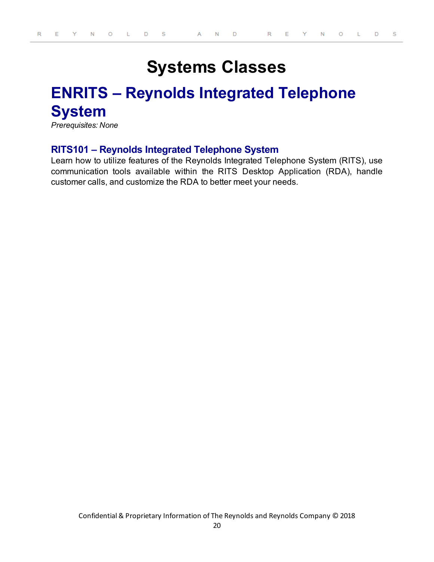# **Systems Classes**

# <span id="page-19-1"></span><span id="page-19-0"></span>**ENRITS – Reynolds Integrated Telephone System**

<span id="page-19-2"></span>*Prerequisites: None*

## **RITS101 – Reynolds Integrated Telephone System**

Learn how to utilize features of the Reynolds Integrated Telephone System (RITS), use communication tools available within the RITS Desktop Application (RDA), handle customer calls, and customize the RDA to better meet your needs.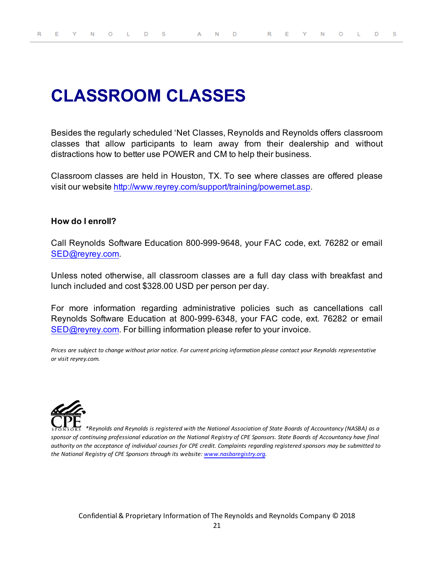# <span id="page-20-0"></span>**CLASSROOM CLASSES**

Besides the regularly scheduled 'Net Classes, Reynolds and Reynolds offers classroom classes that allow participants to learn away from their dealership and without distractions how to better use POWER and CM to help their business.

Classroom classes are held in Houston, TX. To see where classes are offered please visit our website <http://www.reyrey.com/support/training/powernet.asp>.

### **How do I enroll?**

Call Reynolds Software Education 800-999-9648, your FAC code, ext. 76282 or email [SED@reyrey.com](mailto:SED@reyrey.com).

Unless noted otherwise, all classroom classes are a full day class with breakfast and lunch included and cost \$328.00 USD per person per day.

For more information regarding administrative policies such as cancellations call Reynolds Software Education at 800-999-6348, your FAC code, ext. 76282 or email [SED@reyrey.com](mailto:SED@reyrey.com). For billing information please refer to your invoice.

*Prices are subject to change without prior notice. For current pricing information please contact your Reynolds representative or visit reyrey.com.*



*\*Reynolds and Reynolds is registered with the National Association of State Boards of Accountancy (NASBA) as a sponsor of continuing professional education on the National Registry of CPE Sponsors. State Boards of Accountancy have final authority on the acceptance of individual courses for CPE credit. Complaints regarding registered sponsors may be submitted to the National Registry of CPE Sponsors through its website: [www.nasbaregistry.org](http://www.learningmarket.org/).*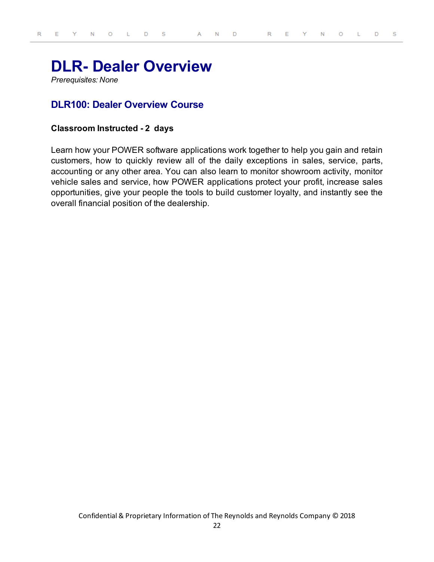## <span id="page-21-0"></span>**DLR- Dealer Overview**

<span id="page-21-1"></span>*Prerequisites: None*

## **DLR100: Dealer Overview Course**

#### **Classroom Instructed - 2 days**

Learn how your POWER software applications work together to help you gain and retain customers, how to quickly review all of the daily exceptions in sales, service, parts, accounting or any other area. You can also learn to monitor showroom activity, monitor vehicle sales and service, how POWER applications protect your profit, increase sales opportunities, give your people the tools to build customer loyalty, and instantly see the overall financial position of the dealership.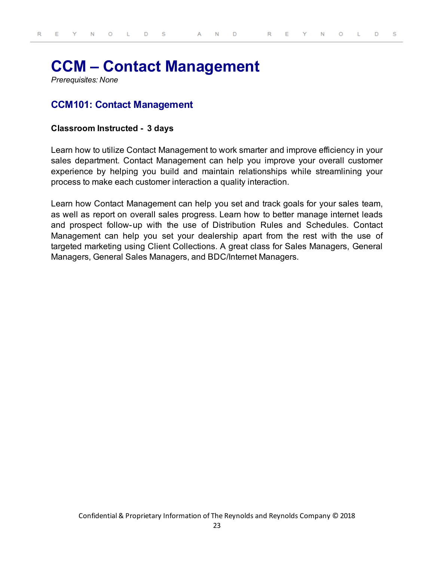## <span id="page-22-0"></span>**CCM – Contact Management**

<span id="page-22-1"></span>*Prerequisites: None*

## **CCM101: Contact Management**

#### **Classroom Instructed - 3 days**

Learn how to utilize Contact Management to work smarter and improve efficiency in your sales department. Contact Management can help you improve your overall customer experience by helping you build and maintain relationships while streamlining your process to make each customer interaction a quality interaction.

Learn how Contact Management can help you set and track goals for your sales team, as well as report on overall sales progress. Learn how to better manage internet leads and prospect follow-up with the use of Distribution Rules and Schedules. Contact Management can help you set your dealership apart from the rest with the use of targeted marketing using Client Collections. A great class for Sales Managers, General Managers, General Sales Managers, and BDC/Internet Managers.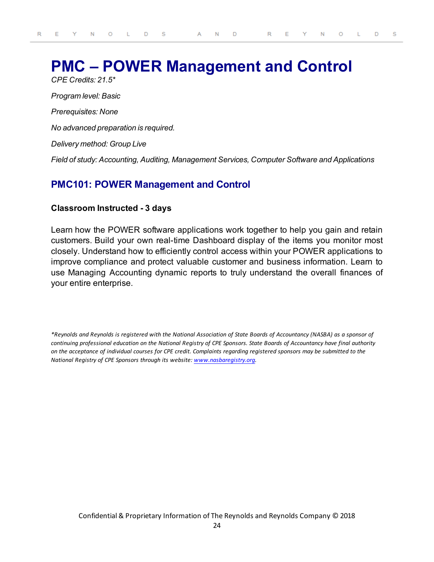## <span id="page-23-0"></span>**PMC – POWER Management and Control**

*CPE Credits: 21.5\* Program level: Basic Prerequisites: None No advanced preparation is required. Delivery method: Group Live Field of study: Accounting, Auditing, Management Services, Computer Software and Applications*

## <span id="page-23-1"></span>**PMC101: POWER Management and Control**

#### **Classroom Instructed - 3 days**

Learn how the POWER software applications work together to help you gain and retain customers. Build your own real-time Dashboard display of the items you monitor most closely. Understand how to efficiently control access within your POWER applications to improve compliance and protect valuable customer and business information. Learn to use Managing Accounting dynamic reports to truly understand the overall finances of your entire enterprise.

*\*Reynolds and Reynolds is registered with the National Association of State Boards of Accountancy (NASBA) as a sponsor of continuing professional education on the National Registry of CPE Sponsors. State Boards of Accountancy have final authority on the acceptance of individual courses for CPE credit. Complaints regarding registered sponsors may be submitted to the National Registry of CPE Sponsors through its website: [www.nasbaregistry.org](http://www.learningmarket.org/).*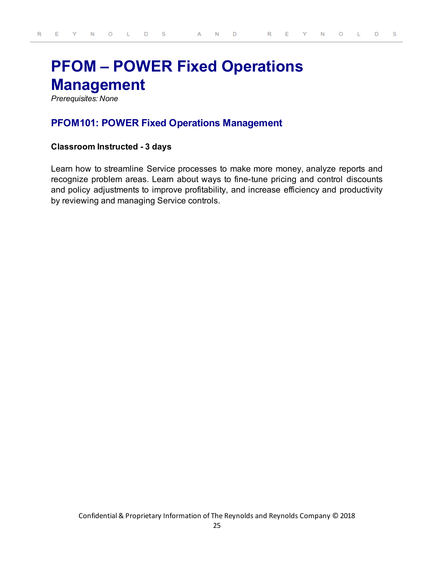# <span id="page-24-0"></span>**PFOM – POWER Fixed Operations Management**

<span id="page-24-1"></span>*Prerequisites: None*

## **PFOM101: POWER Fixed Operations Management**

#### **Classroom Instructed - 3 days**

Learn how to streamline Service processes to make more money, analyze reports and recognize problem areas. Learn about ways to fine-tune pricing and control discounts and policy adjustments to improve profitability, and increase efficiency and productivity by reviewing and managing Service controls.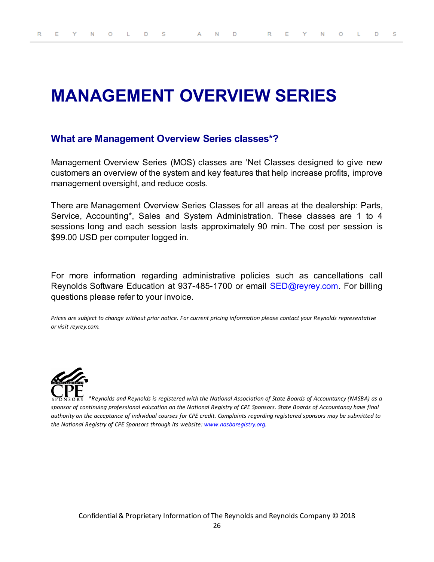# <span id="page-25-0"></span>**MANAGEMENT OVERVIEW SERIES**

## **What are Management Overview Series classes\*?**

Management Overview Series (MOS) classes are 'Net Classes designed to give new customers an overview of the system and key features that help increase profits, improve management oversight, and reduce costs.

There are Management Overview Series Classes for all areas at the dealership: Parts, Service, Accounting\*, Sales and System Administration. These classes are 1 to 4 sessions long and each session lasts approximately 90 min. The cost per session is \$99.00 USD per computer logged in.

For more information regarding administrative policies such as cancellations call Reynolds Software Education at 937-485-1700 or email [SED@reyrey.com](mailto:SED@reyrey.com). For billing questions please refer to your invoice.

*Prices are subject to change without prior notice. For current pricing information please contact your Reynolds representative or visit reyrey.com.*



*\*Reynolds and Reynolds is registered with the National Association of State Boards of Accountancy (NASBA) as a sponsor of continuing professional education on the National Registry of CPE Sponsors. State Boards of Accountancy have final authority on the acceptance of individual courses for CPE credit. Complaints regarding registered sponsors may be submitted to the National Registry of CPE Sponsors through its website: [www.nasbaregistry.org](http://www.learningmarket.org/).*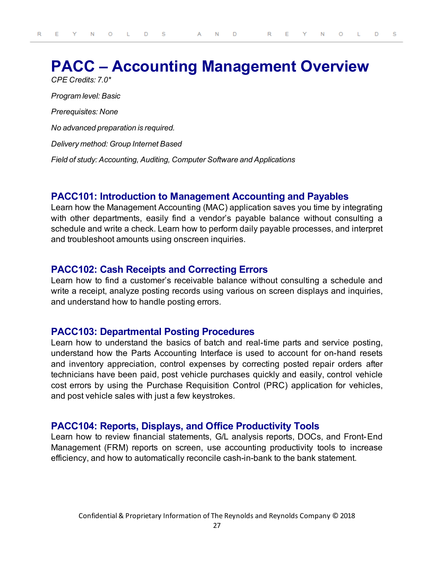## <span id="page-26-0"></span>**PACC – Accounting Management Overview** *CPE Credits: 7.0\**

*Program level: Basic Prerequisites: None No advanced preparation is required. Delivery method: Group Internet Based Field of study: Accounting, Auditing, Computer Software and Applications*

## <span id="page-26-1"></span>**PACC101: Introduction to Management Accounting and Payables**

Learn how the Management Accounting (MAC) application saves you time by integrating with other departments, easily find a vendor's payable balance without consulting a schedule and write a check. Learn how to perform daily payable processes, and interpret and troubleshoot amounts using onscreen inquiries.

## <span id="page-26-2"></span>**PACC102: Cash Receipts and Correcting Errors**

Learn how to find a customer's receivable balance without consulting a schedule and write a receipt, analyze posting records using various on screen displays and inquiries, and understand how to handle posting errors.

### <span id="page-26-3"></span>**PACC103: Departmental Posting Procedures**

Learn how to understand the basics of batch and real-time parts and service posting, understand how the Parts Accounting Interface is used to account for on-hand resets and inventory appreciation, control expenses by correcting posted repair orders after technicians have been paid, post vehicle purchases quickly and easily, control vehicle cost errors by using the Purchase Requisition Control (PRC) application for vehicles, and post vehicle sales with just a few keystrokes.

### <span id="page-26-4"></span>**PACC104: Reports, Displays, and Office Productivity Tools**

Learn how to review financial statements, G/L analysis reports, DOCs, and Front-End Management (FRM) reports on screen, use accounting productivity tools to increase efficiency, and how to automatically reconcile cash-in-bank to the bank statement.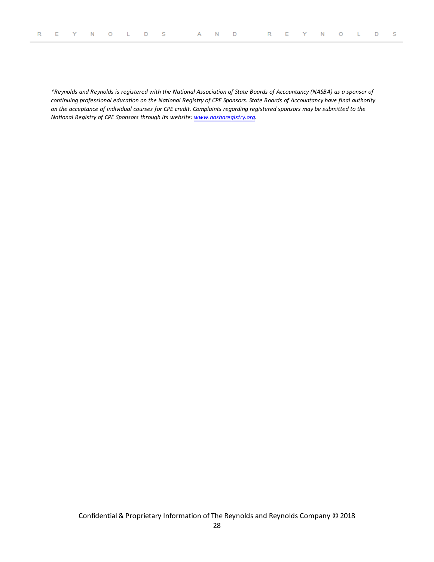*\*Reynolds and Reynolds is registered with the National Association of State Boards of Accountancy (NASBA) as a sponsor of continuing professional education on the National Registry of CPE Sponsors. State Boards of Accountancy have final authority on the acceptance of individual courses for CPE credit. Complaints regarding registered sponsors may be submitted to the National Registry of CPE Sponsors through its website: [www.nasbaregistry.org](http://www.learningmarket.org/).*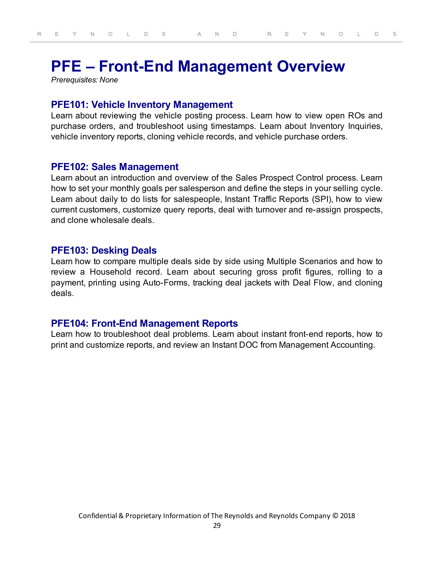## <span id="page-28-0"></span>**PFE – Front-End Management Overview**

<span id="page-28-1"></span>*Prerequisites: None*

#### **PFE101: Vehicle Inventory Management**

Learn about reviewing the vehicle posting process. Learn how to view open ROs and purchase orders, and troubleshoot using timestamps. Learn about Inventory Inquiries, vehicle inventory reports, cloning vehicle records, and vehicle purchase orders.

#### <span id="page-28-2"></span>**PFE102: Sales Management**

Learn about an introduction and overview of the Sales Prospect Control process. Learn how to set your monthly goals per salesperson and define the steps in your selling cycle. Learn about daily to do lists for salespeople, Instant Traffic Reports (SPI), how to view current customers, customize query reports, deal with turnover and re-assign prospects, and clone wholesale deals.

### <span id="page-28-3"></span>**PFE103: Desking Deals**

Learn how to compare multiple deals side by side using Multiple Scenarios and how to review a Household record. Learn about securing gross profit figures, rolling to a payment, printing using Auto-Forms, tracking deal jackets with Deal Flow, and cloning deals.

### <span id="page-28-4"></span>**PFE104: Front-End Management Reports**

Learn how to troubleshoot deal problems. Learn about instant front-end reports, how to print and customize reports, and review an Instant DOC from Management Accounting.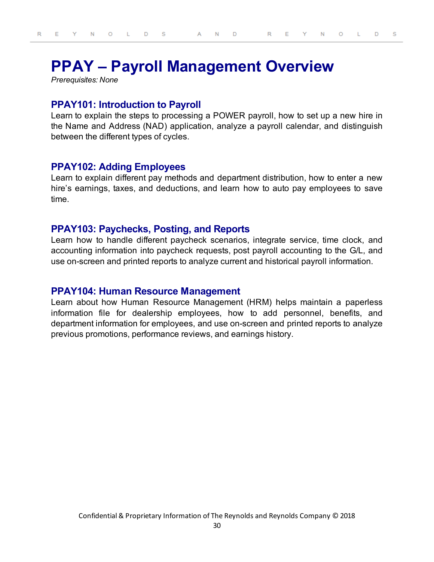## <span id="page-29-0"></span>**PPAY – Payroll Management Overview**

<span id="page-29-1"></span>*Prerequisites: None*

#### **PPAY101: Introduction to Payroll**

Learn to explain the steps to processing a POWER payroll, how to set up a new hire in the Name and Address (NAD) application, analyze a payroll calendar, and distinguish between the different types of cycles.

#### <span id="page-29-2"></span>**PPAY102: Adding Employees**

Learn to explain different pay methods and department distribution, how to enter a new hire's earnings, taxes, and deductions, and learn how to auto pay employees to save time.

#### <span id="page-29-3"></span>**PPAY103: Paychecks, Posting, and Reports**

Learn how to handle different paycheck scenarios, integrate service, time clock, and accounting information into paycheck requests, post payroll accounting to the G/L, and use on-screen and printed reports to analyze current and historical payroll information.

#### <span id="page-29-4"></span>**PPAY104: Human Resource Management**

Learn about how Human Resource Management (HRM) helps maintain a paperless information file for dealership employees, how to add personnel, benefits, and department information for employees, and use on-screen and printed reports to analyze previous promotions, performance reviews, and earnings history.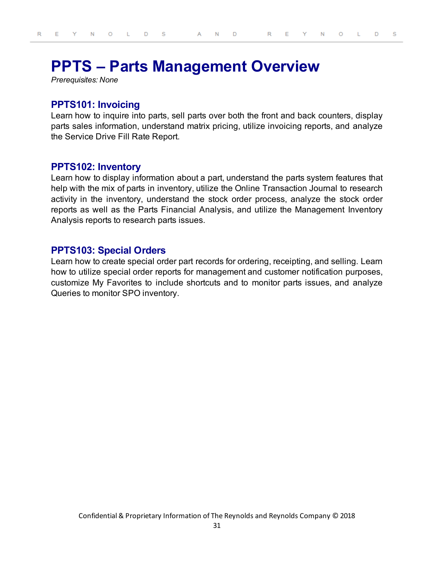## <span id="page-30-0"></span>**PPTS – Parts Management Overview**

<span id="page-30-1"></span>*Prerequisites: None*

### **PPTS101: Invoicing**

Learn how to inquire into parts, sell parts over both the front and back counters, display parts sales information, understand matrix pricing, utilize invoicing reports, and analyze the Service Drive Fill Rate Report.

### <span id="page-30-2"></span>**PPTS102: Inventory**

Learn how to display information about a part, understand the parts system features that help with the mix of parts in inventory, utilize the Online Transaction Journal to research activity in the inventory, understand the stock order process, analyze the stock order reports as well as the Parts Financial Analysis, and utilize the Management Inventory Analysis reports to research parts issues.

### <span id="page-30-3"></span>**PPTS103: Special Orders**

Learn how to create special order part records for ordering, receipting, and selling. Learn how to utilize special order reports for management and customer notification purposes, customize My Favorites to include shortcuts and to monitor parts issues, and analyze Queries to monitor SPO inventory.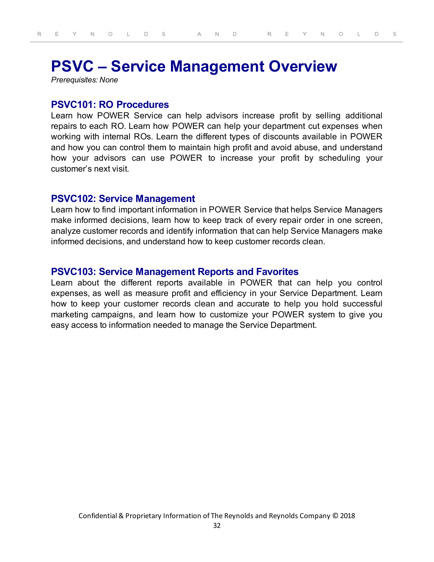## <span id="page-31-0"></span>**PSVC – Service Management Overview**

<span id="page-31-1"></span>*Prerequisites: None*

### **PSVC101: RO Procedures**

Learn how POWER Service can help advisors increase profit by selling additional repairs to each RO. Learn how POWER can help your department cut expenses when working with internal ROs. Learn the different types of discounts available in POWER and how you can control them to maintain high profit and avoid abuse, and understand how your advisors can use POWER to increase your profit by scheduling your customer's next visit.

#### <span id="page-31-2"></span>**PSVC102: Service Management**

Learn how to find important information in POWER Service that helps Service Managers make informed decisions, learn how to keep track of every repair order in one screen, analyze customer records and identify information that can help Service Managers make informed decisions, and understand how to keep customer records clean.

#### <span id="page-31-3"></span>**PSVC103: Service Management Reports and Favorites**

Learn about the different reports available in POWER that can help you control expenses, as well as measure profit and efficiency in your Service Department. Learn how to keep your customer records clean and accurate to help you hold successful marketing campaigns, and learn how to customize your POWER system to give you easy access to information needed to manage the Service Department.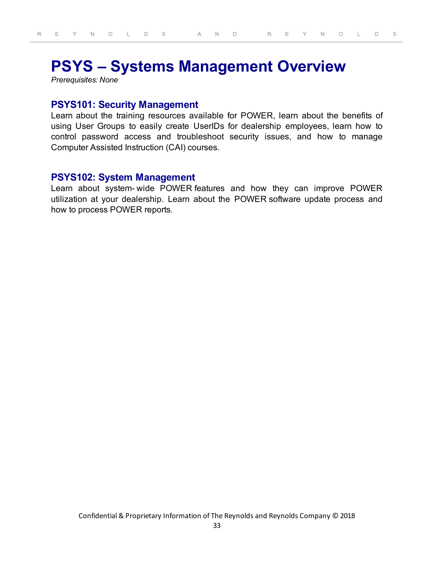## <span id="page-32-0"></span>**PSYS – Systems Management Overview**

<span id="page-32-1"></span>*Prerequisites: None*

#### **PSYS101: Security Management**

Learn about the training resources available for POWER, learn about the benefits of using User Groups to easily create UserIDs for dealership employees, learn how to control password access and troubleshoot security issues, and how to manage Computer Assisted Instruction (CAI) courses.

## <span id="page-32-2"></span>**PSYS102: System Management**

Learn about system- wide POWER features and how they can improve POWER utilization at your dealership. Learn about the POWER software update process and how to process POWER reports.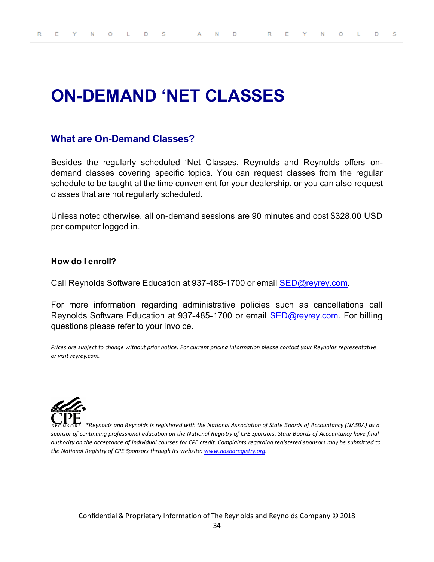# <span id="page-33-0"></span>**ON-DEMAND 'NET CLASSES**

## **What are On-Demand Classes?**

Besides the regularly scheduled 'Net Classes, Reynolds and Reynolds offers ondemand classes covering specific topics. You can request classes from the regular schedule to be taught at the time convenient for your dealership, or you can also request classes that are not regularly scheduled.

Unless noted otherwise, all on-demand sessions are 90 minutes and cost \$328.00 USD per computer logged in.

#### **How do I enroll?**

Call Reynolds Software Education at 937-485-1700 or email [SED@reyrey.com](mailto:SED@reyrey.com).

For more information regarding administrative policies such as cancellations call Reynolds Software Education at 937-485-1700 or email [SED@reyrey.com](mailto:SED@reyrey.com). For billing questions please refer to your invoice.

*Prices are subject to change without prior notice. For current pricing information please contact your Reynolds representative or visit reyrey.com.*



*\*Reynolds and Reynolds is registered with the National Association of State Boards of Accountancy (NASBA) as a sponsor of continuing professional education on the National Registry of CPE Sponsors. State Boards of Accountancy have final authority on the acceptance of individual courses for CPE credit. Complaints regarding registered sponsors may be submitted to the National Registry of CPE Sponsors through its website: [www.nasbaregistry.org](http://www.learningmarket.org/).*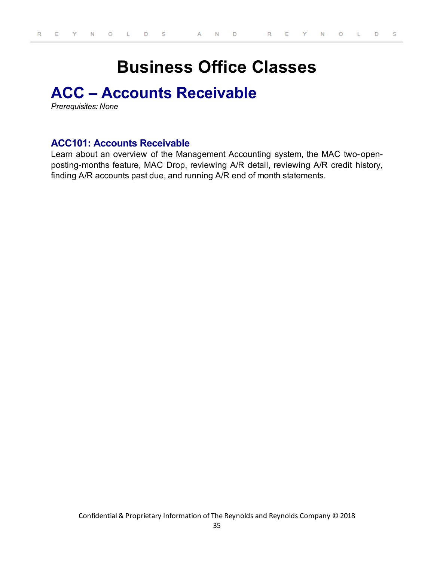# **Business Office Classes**

## <span id="page-34-1"></span><span id="page-34-0"></span>**ACC – Accounts Receivable**

<span id="page-34-2"></span>*Prerequisites: None*

## **ACC101: Accounts Receivable**

Learn about an overview of the Management Accounting system, the MAC two-openposting-months feature, MAC Drop, reviewing A/R detail, reviewing A/R credit history, finding A/R accounts past due, and running A/R end of month statements.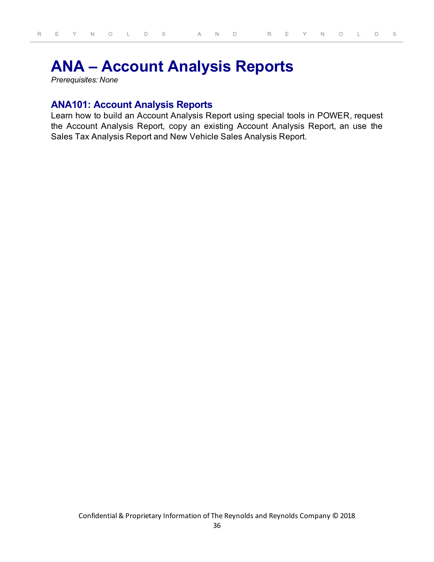## <span id="page-35-0"></span>**ANA – Account Analysis Reports**

<span id="page-35-1"></span>*Prerequisites: None*

### **ANA101: Account Analysis Reports**

Learn how to build an Account Analysis Report using special tools in POWER, request the Account Analysis Report, copy an existing Account Analysis Report, an use the Sales Tax Analysis Report and New Vehicle Sales Analysis Report.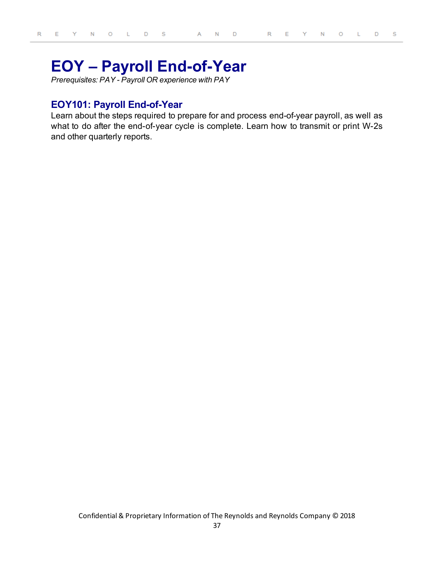# **EOY – Payroll End-of-Year**

*Prerequisites: PAY - Payroll OR experience with PAY*

# **EOY101: Payroll End-of-Year**

Learn about the steps required to prepare for and process end-of-year payroll, as well as what to do after the end-of-year cycle is complete. Learn how to transmit or print W-2s and other quarterly reports.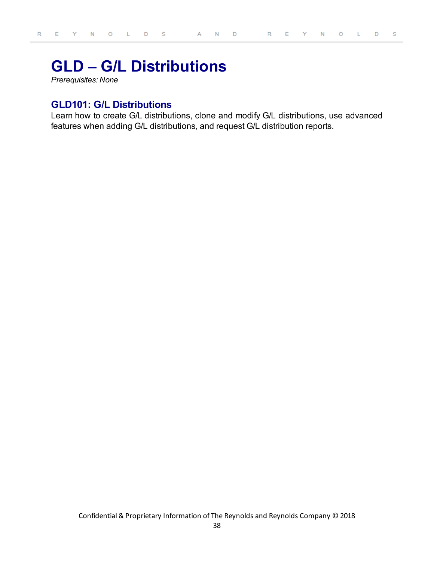# **GLD – G/L Distributions**

*Prerequisites: None*

# **GLD101: G/L Distributions**

Learn how to create G/L distributions, clone and modify G/L distributions, use advanced features when adding G/L distributions, and request G/L distribution reports.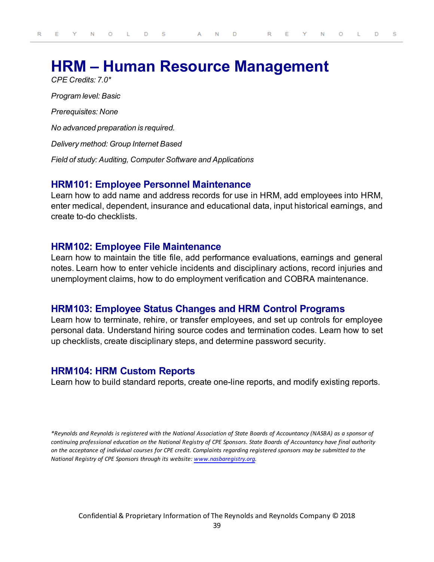# **HRM – Human Resource Management**

*CPE Credits: 7.0\* Program level: Basic Prerequisites: None No advanced preparation is required. Delivery method: Group Internet Based Field of study: Auditing, Computer Software and Applications*

## **HRM101: Employee Personnel Maintenance**

Learn how to add name and address records for use in HRM, add employees into HRM, enter medical, dependent, insurance and educational data, input historical earnings, and create to-do checklists.

## **HRM102: Employee File Maintenance**

Learn how to maintain the title file, add performance evaluations, earnings and general notes. Learn how to enter vehicle incidents and disciplinary actions, record injuries and unemployment claims, how to do employment verification and COBRA maintenance.

# **HRM103: Employee Status Changes and HRM Control Programs**

Learn how to terminate, rehire, or transfer employees, and set up controls for employee personal data. Understand hiring source codes and termination codes. Learn how to set up checklists, create disciplinary steps, and determine password security.

# **HRM104: HRM Custom Reports**

Learn how to build standard reports, create one-line reports, and modify existing reports.

*\*Reynolds and Reynolds is registered with the National Association of State Boards of Accountancy (NASBA) as a sponsor of continuing professional education on the National Registry of CPE Sponsors. State Boards of Accountancy have final authority on the acceptance of individual courses for CPE credit. Complaints regarding registered sponsors may be submitted to the National Registry of CPE Sponsors through its website: [www.nasbaregistry.org](http://www.learningmarket.org/).*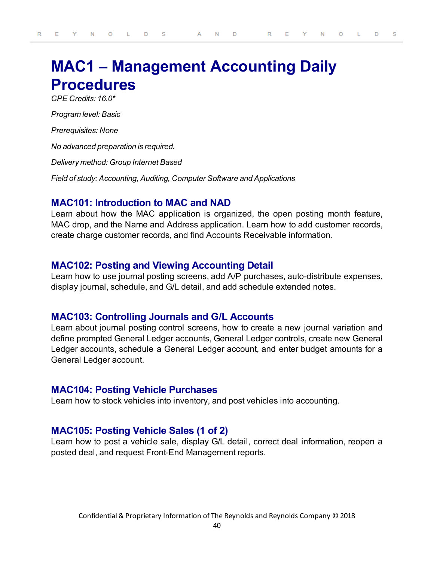# **MAC1 – Management Accounting Daily Procedures**

*CPE Credits: 16.0\**

*Program level: Basic*

*Prerequisites: None*

*No advanced preparation is required.*

*Delivery method: Group Internet Based*

*Field of study: Accounting, Auditing, Computer Software and Applications*

## **MAC101: Introduction to MAC and NAD**

Learn about how the MAC application is organized, the open posting month feature, MAC drop, and the Name and Address application. Learn how to add customer records, create charge customer records, and find Accounts Receivable information.

## **MAC102: Posting and Viewing Accounting Detail**

Learn how to use journal posting screens, add A/P purchases, auto-distribute expenses, display journal, schedule, and G/L detail, and add schedule extended notes.

### **MAC103: Controlling Journals and G/L Accounts**

Learn about journal posting control screens, how to create a new journal variation and define prompted General Ledger accounts, General Ledger controls, create new General Ledger accounts, schedule a General Ledger account, and enter budget amounts for a General Ledger account.

### **MAC104: Posting Vehicle Purchases**

Learn how to stock vehicles into inventory, and post vehicles into accounting.

## **MAC105: Posting Vehicle Sales (1 of 2)**

Learn how to post a vehicle sale, display G/L detail, correct deal information, reopen a posted deal, and request Front-End Management reports.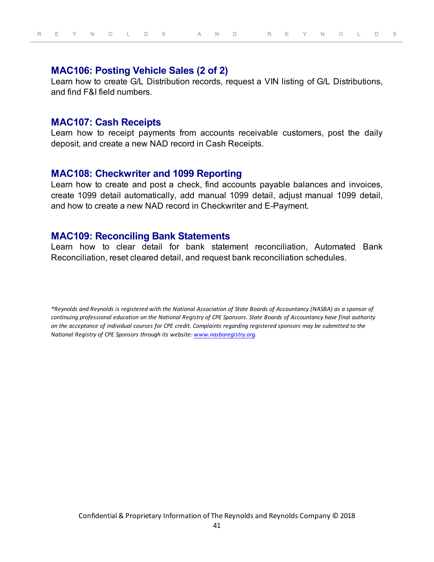## **MAC106: Posting Vehicle Sales (2 of 2)**

Learn how to create G/L Distribution records, request a VIN listing of G/L Distributions, and find F&I field numbers.

#### **MAC107: Cash Receipts**

Learn how to receipt payments from accounts receivable customers, post the daily deposit, and create a new NAD record in Cash Receipts.

## **MAC108: Checkwriter and 1099 Reporting**

Learn how to create and post a check, find accounts payable balances and invoices, create 1099 detail automatically, add manual 1099 detail, adjust manual 1099 detail, and how to create a new NAD record in Checkwriter and E-Payment.

#### **MAC109: Reconciling Bank Statements**

Learn how to clear detail for bank statement reconciliation, Automated Bank Reconciliation, reset cleared detail, and request bank reconciliation schedules.

*\*Reynolds and Reynolds is registered with the National Association of State Boards of Accountancy (NASBA) as a sponsor of continuing professional education on the National Registry of CPE Sponsors. State Boards of Accountancy have final authority on the acceptance of individual courses for CPE credit. Complaints regarding registered sponsors may be submitted to the National Registry of CPE Sponsors through its website: [www.nasbaregistry.org](http://www.learningmarket.org/).*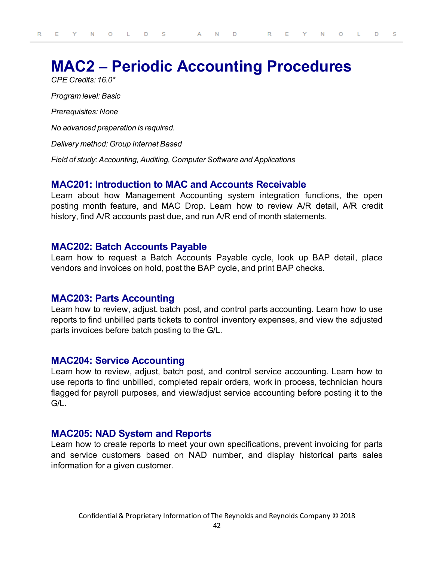# **MAC2 – Periodic Accounting Procedures**

*CPE Credits: 16.0\* Program level: Basic Prerequisites: None No advanced preparation is required. Delivery method: Group Internet Based Field of study: Accounting, Auditing, Computer Software and Applications*

## **MAC201: Introduction to MAC and Accounts Receivable**

Learn about how Management Accounting system integration functions, the open posting month feature, and MAC Drop. Learn how to review A/R detail, A/R credit history, find A/R accounts past due, and run A/R end of month statements.

## **MAC202: Batch Accounts Payable**

Learn how to request a Batch Accounts Payable cycle, look up BAP detail, place vendors and invoices on hold, post the BAP cycle, and print BAP checks.

## **MAC203: Parts Accounting**

Learn how to review, adjust, batch post, and control parts accounting. Learn how to use reports to find unbilled parts tickets to control inventory expenses, and view the adjusted parts invoices before batch posting to the G/L.

## **MAC204: Service Accounting**

Learn how to review, adjust, batch post, and control service accounting. Learn how to use reports to find unbilled, completed repair orders, work in process, technician hours flagged for payroll purposes, and view/adjust service accounting before posting it to the  $G/I$ 

## **MAC205: NAD System and Reports**

Learn how to create reports to meet your own specifications, prevent invoicing for parts and service customers based on NAD number, and display historical parts sales information for a given customer.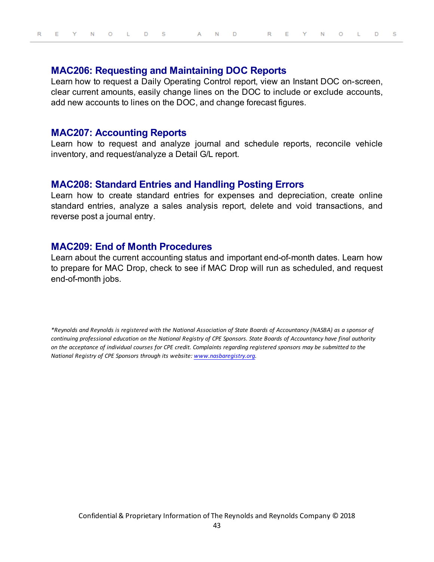# **MAC206: Requesting and Maintaining DOC Reports**

Learn how to request a Daily Operating Control report, view an Instant DOC on-screen, clear current amounts, easily change lines on the DOC to include or exclude accounts, add new accounts to lines on the DOC, and change forecast figures.

#### **MAC207: Accounting Reports**

Learn how to request and analyze journal and schedule reports, reconcile vehicle inventory, and request/analyze a Detail G/L report.

#### **MAC208: Standard Entries and Handling Posting Errors**

Learn how to create standard entries for expenses and depreciation, create online standard entries, analyze a sales analysis report, delete and void transactions, and reverse post a journal entry.

## **MAC209: End of Month Procedures**

Learn about the current accounting status and important end-of-month dates. Learn how to prepare for MAC Drop, check to see if MAC Drop will run as scheduled, and request end-of-month jobs.

*\*Reynolds and Reynolds is registered with the National Association of State Boards of Accountancy (NASBA) as a sponsor of continuing professional education on the National Registry of CPE Sponsors. State Boards of Accountancy have final authority on the acceptance of individual courses for CPE credit. Complaints regarding registered sponsors may be submitted to the National Registry of CPE Sponsors through its website: [www.nasbaregistry.org](http://www.learningmarket.org/).*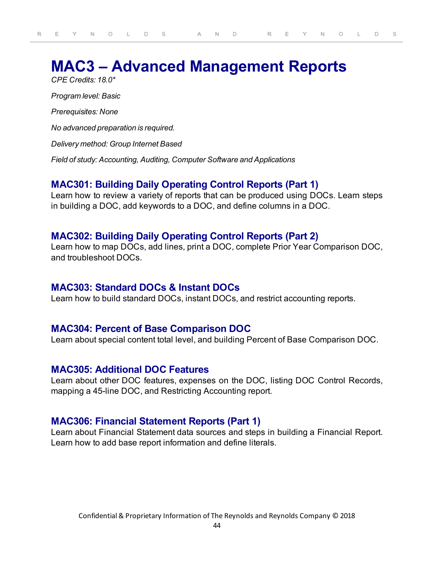# **MAC3 – Advanced Management Reports** *CPE Credits: 18.0\**

*Program level: Basic Prerequisites: None No advanced preparation is required. Delivery method: Group Internet Based Field of study: Accounting, Auditing, Computer Software and Applications*

## **MAC301: Building Daily Operating Control Reports (Part 1)**

Learn how to review a variety of reports that can be produced using DOCs. Learn steps in building a DOC, add keywords to a DOC, and define columns in a DOC.

## **MAC302: Building Daily Operating Control Reports (Part 2)**

Learn how to map DOCs, add lines, print a DOC, complete Prior Year Comparison DOC, and troubleshoot DOCs.

## **MAC303: Standard DOCs & Instant DOCs**

Learn how to build standard DOCs, instant DOCs, and restrict accounting reports.

## **MAC304: Percent of Base Comparison DOC**

Learn about special content total level, and building Percent of Base Comparison DOC.

## **MAC305: Additional DOC Features**

Learn about other DOC features, expenses on the DOC, listing DOC Control Records, mapping a 45-line DOC, and Restricting Accounting report.

# **MAC306: Financial Statement Reports (Part 1)**

Learn about Financial Statement data sources and steps in building a Financial Report. Learn how to add base report information and define literals.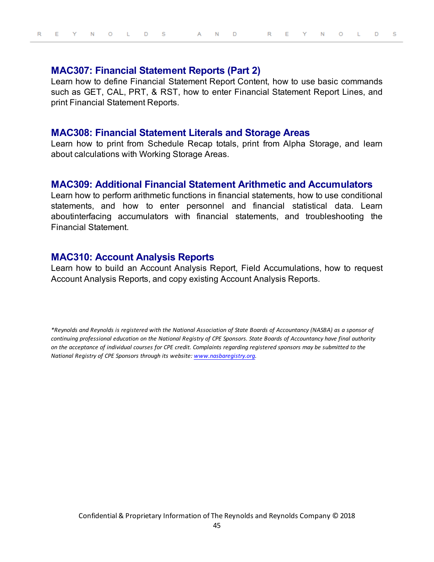#### **MAC307: Financial Statement Reports (Part 2)**

Learn how to define Financial Statement Report Content, how to use basic commands such as GET, CAL, PRT, & RST, how to enter Financial Statement Report Lines, and print Financial Statement Reports.

#### **MAC308: Financial Statement Literals and Storage Areas**

Learn how to print from Schedule Recap totals, print from Alpha Storage, and learn about calculations with Working Storage Areas.

## **MAC309: Additional Financial Statement Arithmetic and Accumulators**

Learn how to perform arithmetic functions in financial statements, how to use conditional statements, and how to enter personnel and financial statistical data. Learn aboutinterfacing accumulators with financial statements, and troubleshooting the Financial Statement.

## **MAC310: Account Analysis Reports**

Learn how to build an Account Analysis Report, Field Accumulations, how to request Account Analysis Reports, and copy existing Account Analysis Reports.

*\*Reynolds and Reynolds is registered with the National Association of State Boards of Accountancy (NASBA) as a sponsor of continuing professional education on the National Registry of CPE Sponsors. State Boards of Accountancy have final authority on the acceptance of individual courses for CPE credit. Complaints regarding registered sponsors may be submitted to the National Registry of CPE Sponsors through its website: [www.nasbaregistry.org](http://www.learningmarket.org/).*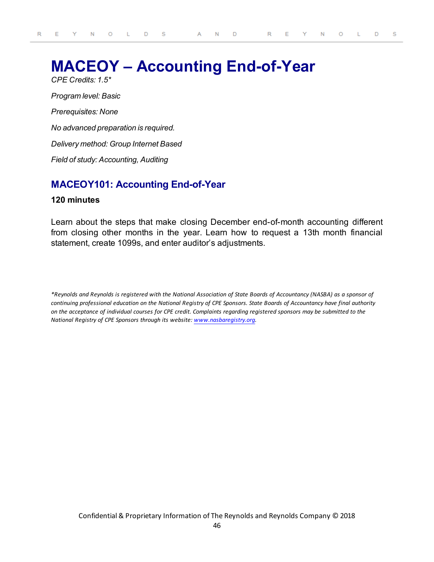# **MACEOY – Accounting End-of-Year**

*CPE Credits: 1.5\* Program level: Basic Prerequisites: None No advanced preparation is required. Delivery method: Group Internet Based Field of study: Accounting, Auditing*

# **MACEOY101: Accounting End-of-Year**

#### **120 minutes**

Learn about the steps that make closing December end-of-month accounting different from closing other months in the year. Learn how to request a 13th month financial statement, create 1099s, and enter auditor's adjustments.

*\*Reynolds and Reynolds is registered with the National Association of State Boards of Accountancy (NASBA) as a sponsor of continuing professional education on the National Registry of CPE Sponsors. State Boards of Accountancy have final authority on the acceptance of individual courses for CPE credit. Complaints regarding registered sponsors may be submitted to the National Registry of CPE Sponsors through its website: [www.nasbaregistry.org](http://www.learningmarket.org/).*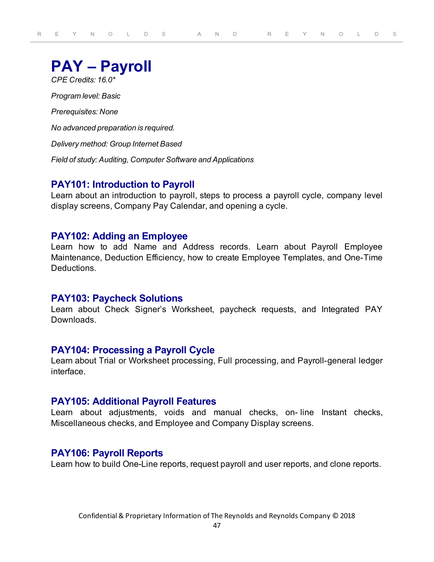# **PAY – Payroll**

*CPE Credits: 16.0\* Program level: Basic*

*Prerequisites: None*

*No advanced preparation is required.*

*Delivery method: Group Internet Based*

*Field of study: Auditing, Computer Software and Applications*

# **PAY101: Introduction to Payroll**

Learn about an introduction to payroll, steps to process a payroll cycle, company level display screens, Company Pay Calendar, and opening a cycle.

## **PAY102: Adding an Employee**

Learn how to add Name and Address records. Learn about Payroll Employee Maintenance, Deduction Efficiency, how to create Employee Templates, and One-Time **Deductions** 

## **PAY103: Paycheck Solutions**

Learn about Check Signer's Worksheet, paycheck requests, and Integrated PAY Downloads.

## **PAY104: Processing a Payroll Cycle**

Learn about Trial or Worksheet processing, Full processing, and Payroll-general ledger interface.

## **PAY105: Additional Payroll Features**

Learn about adjustments, voids and manual checks, on- line Instant checks, Miscellaneous checks, and Employee and Company Display screens.

# **PAY106: Payroll Reports**

Learn how to build One-Line reports, request payroll and user reports, and clone reports.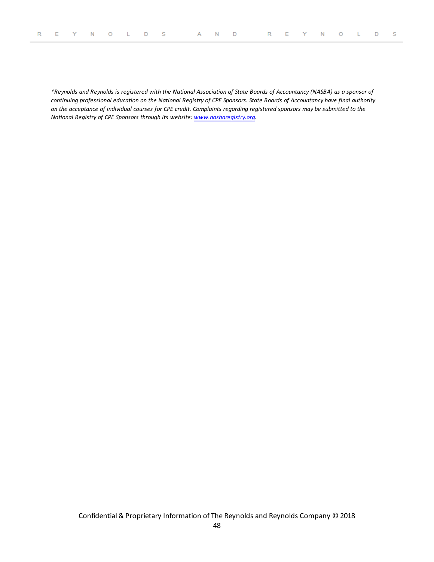*\*Reynolds and Reynolds is registered with the National Association of State Boards of Accountancy (NASBA) as a sponsor of continuing professional education on the National Registry of CPE Sponsors. State Boards of Accountancy have final authority on the acceptance of individual courses for CPE credit. Complaints regarding registered sponsors may be submitted to the National Registry of CPE Sponsors through its website: [www.nasbaregistry.org](http://www.learningmarket.org/).*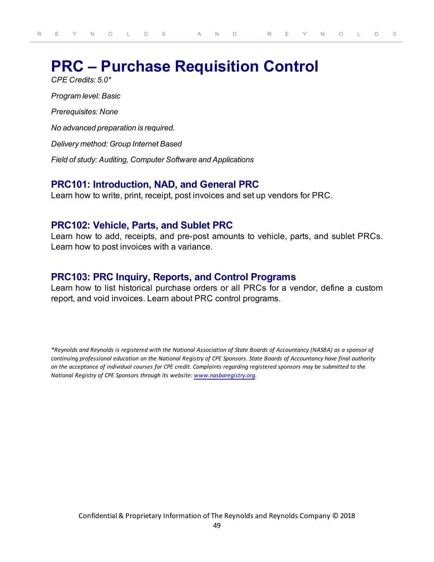# **PRC – Purchase Requisition Control**

*CPE Credits: 5.0\* Program level: Basic Prerequisites: None No advanced preparation is required. Delivery method: Group Internet Based Field of study: Auditing, Computer Software and Applications*

# **PRC101: Introduction, NAD, and General PRC**

Learn how to write, print, receipt, post invoices and set up vendors for PRC.

## **PRC102: Vehicle, Parts, and Sublet PRC**

Learn how to add, receipts, and pre-post amounts to vehicle, parts, and sublet PRCs. Learn how to post invoices with a variance.

# **PRC103: PRC Inquiry, Reports, and Control Programs**

Learn how to list historical purchase orders or all PRCs for a vendor, define a custom report, and void invoices. Learn about PRC control programs.

*\*Reynolds and Reynolds is registered with the National Association of State Boards of Accountancy (NASBA) as a sponsor of continuing professional education on the National Registry of CPE Sponsors. State Boards of Accountancy have final authority on the acceptance of individual courses for CPE credit. Complaints regarding registered sponsors may be submitted to the National Registry of CPE Sponsors through its website: [www.nasbaregistry.org](http://www.learningmarket.org/).*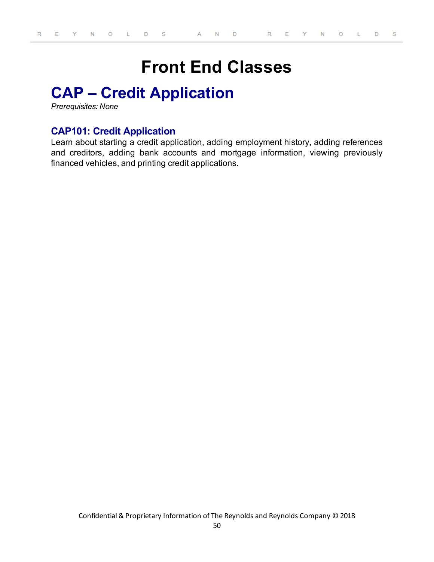# **Front End Classes**

# **CAP – Credit Application**

*Prerequisites: None*

# **CAP101: Credit Application**

Learn about starting a credit application, adding employment history, adding references and creditors, adding bank accounts and mortgage information, viewing previously financed vehicles, and printing credit applications.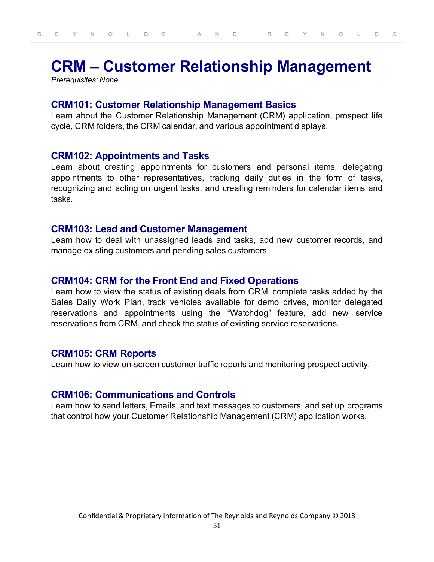# **CRM – Customer Relationship Management**

*Prerequisites: None*

## **CRM101: Customer Relationship Management Basics**

Learn about the Customer Relationship Management (CRM) application, prospect life cycle, CRM folders, the CRM calendar, and various appointment displays.

### **CRM102: Appointments and Tasks**

Learn about creating appointments for customers and personal items, delegating appointments to other representatives, tracking daily duties in the form of tasks, recognizing and acting on urgent tasks, and creating reminders for calendar items and tasks.

### **CRM103: Lead and Customer Management**

Learn how to deal with unassigned leads and tasks, add new customer records, and manage existing customers and pending sales customers.

### **CRM104: CRM for the Front End and Fixed Operations**

Learn how to view the status of existing deals from CRM, complete tasks added by the Sales Daily Work Plan, track vehicles available for demo drives, monitor delegated reservations and appointments using the "Watchdog" feature, add new service reservations from CRM, and check the status of existing service reservations.

## **CRM105: CRM Reports**

Learn how to view on-screen customer traffic reports and monitoring prospect activity.

## **CRM106: Communications and Controls**

Learn how to send letters, Emails, and text messages to customers, and set up programs that control how your Customer Relationship Management (CRM) application works.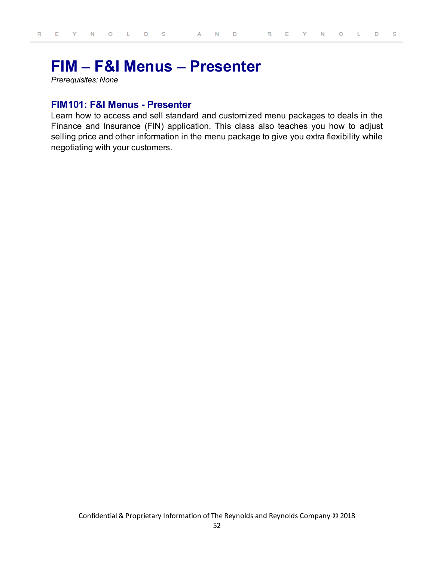# **FIM – F&I Menus – Presenter**

*Prerequisites: None*

## **FIM101: F&I Menus - Presenter**

Learn how to access and sell standard and customized menu packages to deals in the Finance and Insurance (FIN) application. This class also teaches you how to adjust selling price and other information in the menu package to give you extra flexibility while negotiating with your customers.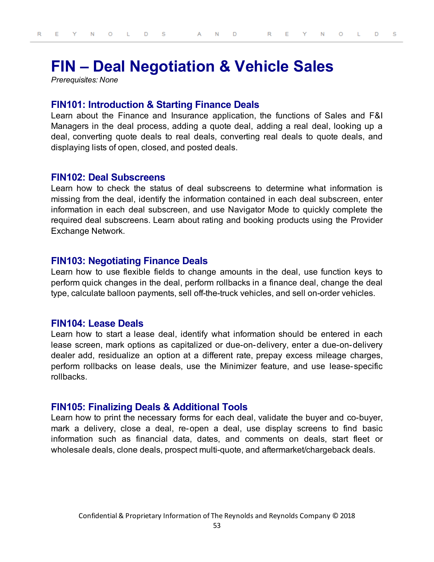# **FIN – Deal Negotiation & Vehicle Sales**

*Prerequisites: None*

#### **FIN101: Introduction & Starting Finance Deals**

Learn about the Finance and Insurance application, the functions of Sales and F&I Managers in the deal process, adding a quote deal, adding a real deal, looking up a deal, converting quote deals to real deals, converting real deals to quote deals, and displaying lists of open, closed, and posted deals.

### **FIN102: Deal Subscreens**

Learn how to check the status of deal subscreens to determine what information is missing from the deal, identify the information contained in each deal subscreen, enter information in each deal subscreen, and use Navigator Mode to quickly complete the required deal subscreens. Learn about rating and booking products using the Provider Exchange Network.

## **FIN103: Negotiating Finance Deals**

Learn how to use flexible fields to change amounts in the deal, use function keys to perform quick changes in the deal, perform rollbacks in a finance deal, change the deal type, calculate balloon payments, sell off-the-truck vehicles, and sell on-order vehicles.

#### **FIN104: Lease Deals**

Learn how to start a lease deal, identify what information should be entered in each lease screen, mark options as capitalized or due-on-delivery, enter a due-on-delivery dealer add, residualize an option at a different rate, prepay excess mileage charges, perform rollbacks on lease deals, use the Minimizer feature, and use lease- specific rollbacks.

### **FIN105: Finalizing Deals & Additional Tools**

Learn how to print the necessary forms for each deal, validate the buyer and co-buyer, mark a delivery, close a deal, re-open a deal, use display screens to find basic information such as financial data, dates, and comments on deals, start fleet or wholesale deals, clone deals, prospect multi-quote, and aftermarket/chargeback deals.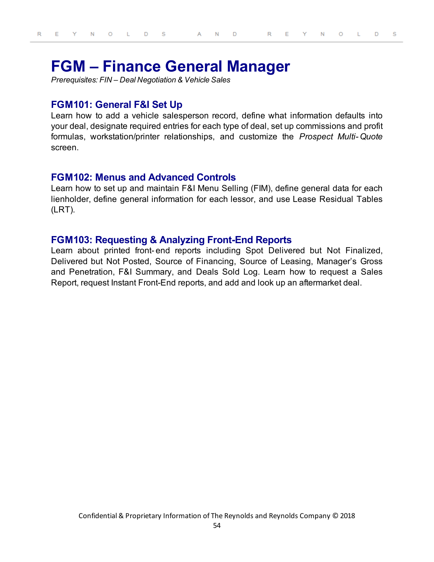# **FGM – Finance General Manager**

*Prerequisites: FIN – Deal Negotiation & Vehicle Sales*

## **FGM101: General F&I Set Up**

Learn how to add a vehicle salesperson record, define what information defaults into your deal, designate required entries for each type of deal, set up commissions and profit formulas, workstation/printer relationships, and customize the *Prospect Multi- Quote* screen.

### **FGM102: Menus and Advanced Controls**

Learn how to set up and maintain F&I Menu Selling (FIM), define general data for each lienholder, define general information for each lessor, and use Lease Residual Tables (LRT).

## **FGM103: Requesting & Analyzing Front-End Reports**

Learn about printed front- end reports including Spot Delivered but Not Finalized, Delivered but Not Posted, Source of Financing, Source of Leasing, Manager's Gross and Penetration, F&I Summary, and Deals Sold Log. Learn how to request a Sales Report, request Instant Front-End reports, and add and look up an aftermarket deal.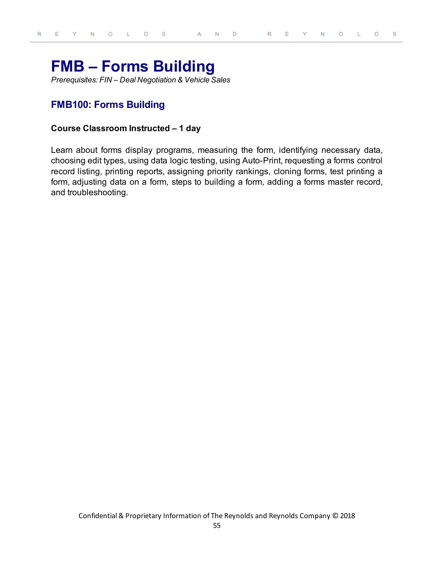# **FMB – Forms Building**

*Prerequisites: FIN – Deal Negotiation & Vehicle Sales*

# **FMB100: Forms Building**

#### **Course Classroom Instructed – 1 day**

Learn about forms display programs, measuring the form, identifying necessary data, choosing edit types, using data logic testing, using Auto-Print, requesting a forms control record listing, printing reports, assigning priority rankings, cloning forms, test printing a form, adjusting data on a form, steps to building a form, adding a forms master record, and troubleshooting.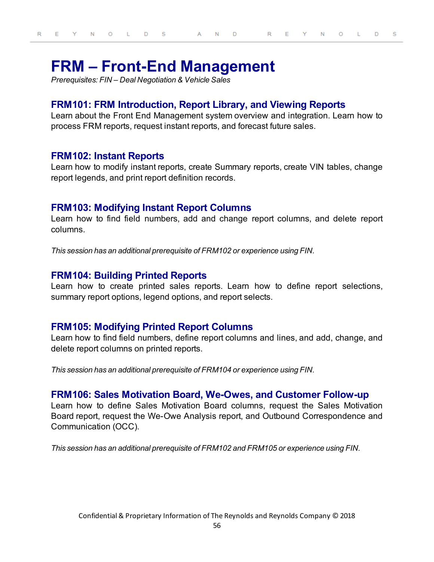# **FRM – Front-End Management**

*Prerequisites: FIN – Deal Negotiation & Vehicle Sales*

# **FRM101: FRM Introduction, Report Library, and Viewing Reports**

Learn about the Front End Management system overview and integration. Learn how to process FRM reports, request instant reports, and forecast future sales.

## **FRM102: Instant Reports**

Learn how to modify instant reports, create Summary reports, create VIN tables, change report legends, and print report definition records.

### **FRM103: Modifying Instant Report Columns**

Learn how to find field numbers, add and change report columns, and delete report columns.

*This session has an additional prerequisite of FRM102 or experience using FIN.*

### **FRM104: Building Printed Reports**

Learn how to create printed sales reports. Learn how to define report selections, summary report options, legend options, and report selects.

#### **FRM105: Modifying Printed Report Columns**

Learn how to find field numbers, define report columns and lines, and add, change, and delete report columns on printed reports.

*This session has an additional prerequisite of FRM104 or experience using FIN.*

### **FRM106: Sales Motivation Board, We-Owes, and Customer Follow-up**

Learn how to define Sales Motivation Board columns, request the Sales Motivation Board report, request the We-Owe Analysis report, and Outbound Correspondence and Communication (OCC).

*This session has an additional prerequisite of FRM102 and FRM105 or experience using FIN.*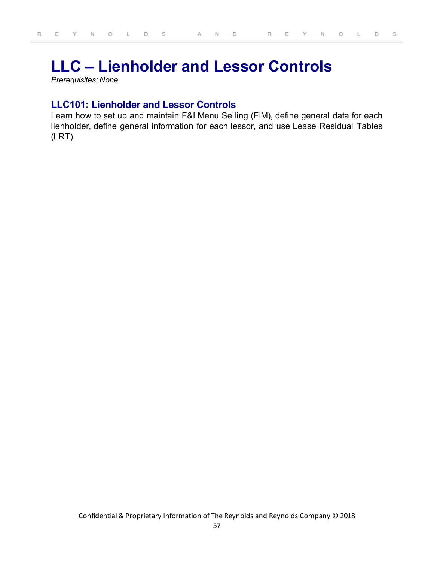# **LLC – Lienholder and Lessor Controls**

*Prerequisites: None*

# **LLC101: Lienholder and Lessor Controls**

Learn how to set up and maintain F&I Menu Selling (FIM), define general data for each lienholder, define general information for each lessor, and use Lease Residual Tables (LRT).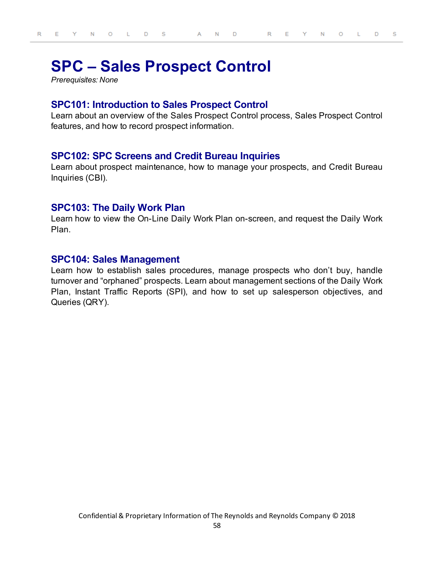# **SPC – Sales Prospect Control**

*Prerequisites: None*

## **SPC101: Introduction to Sales Prospect Control**

Learn about an overview of the Sales Prospect Control process, Sales Prospect Control features, and how to record prospect information.

## **SPC102: SPC Screens and Credit Bureau Inquiries**

Learn about prospect maintenance, how to manage your prospects, and Credit Bureau Inquiries (CBI).

## **SPC103: The Daily Work Plan**

Learn how to view the On-Line Daily Work Plan on-screen, and request the Daily Work Plan.

## **SPC104: Sales Management**

Learn how to establish sales procedures, manage prospects who don't buy, handle turnover and "orphaned" prospects. Learn about management sections of the Daily Work Plan, Instant Traffic Reports (SPI), and how to set up salesperson objectives, and Queries (QRY).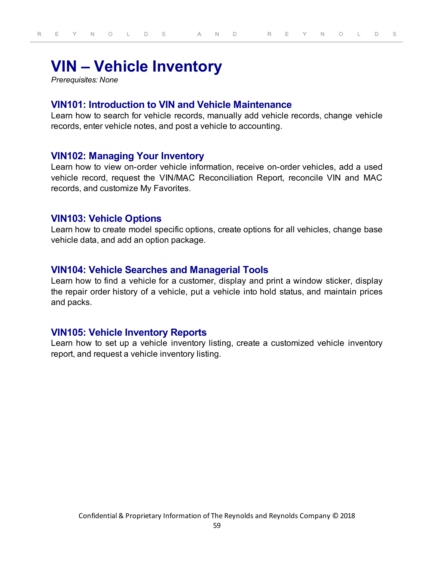# **VIN – Vehicle Inventory**

*Prerequisites: None*

## **VIN101: Introduction to VIN and Vehicle Maintenance**

Learn how to search for vehicle records, manually add vehicle records, change vehicle records, enter vehicle notes, and post a vehicle to accounting.

## **VIN102: Managing Your Inventory**

Learn how to view on-order vehicle information, receive on-order vehicles, add a used vehicle record, request the VIN/MAC Reconciliation Report, reconcile VIN and MAC records, and customize My Favorites.

#### **VIN103: Vehicle Options**

Learn how to create model specific options, create options for all vehicles, change base vehicle data, and add an option package.

### **VIN104: Vehicle Searches and Managerial Tools**

Learn how to find a vehicle for a customer, display and print a window sticker, display the repair order history of a vehicle, put a vehicle into hold status, and maintain prices and packs.

### **VIN105: Vehicle Inventory Reports**

Learn how to set up a vehicle inventory listing, create a customized vehicle inventory report, and request a vehicle inventory listing.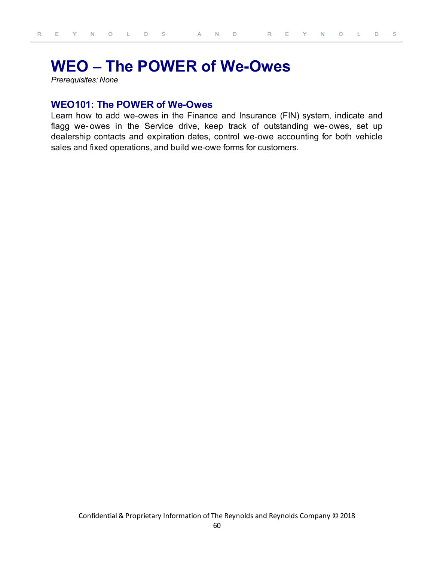# **WEO – The POWER of We-Owes**

*Prerequisites: None*

## **WEO101: The POWER of We-Owes**

Learn how to add we-owes in the Finance and Insurance (FIN) system, indicate and flagg we- owes in the Service drive, keep track of outstanding we- owes, set up dealership contacts and expiration dates, control we-owe accounting for both vehicle sales and fixed operations, and build we-owe forms for customers.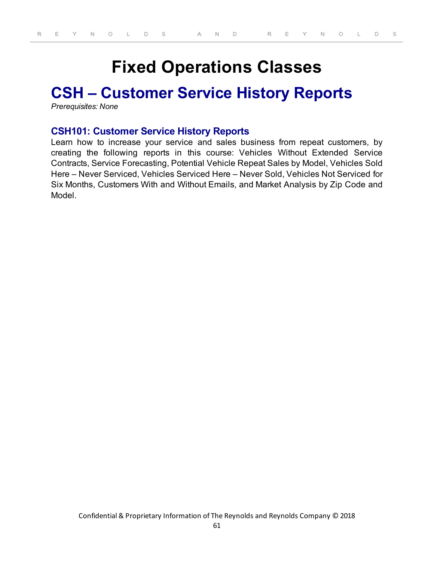# **Fixed Operations Classes**

# **CSH – Customer Service History Reports**

*Prerequisites: None*

### **CSH101: Customer Service History Reports**

Learn how to increase your service and sales business from repeat customers, by creating the following reports in this course: Vehicles Without Extended Service Contracts, Service Forecasting, Potential Vehicle Repeat Sales by Model, Vehicles Sold Here – Never Serviced, Vehicles Serviced Here – Never Sold, Vehicles Not Serviced for Six Months, Customers With and Without Emails, and Market Analysis by Zip Code and Model.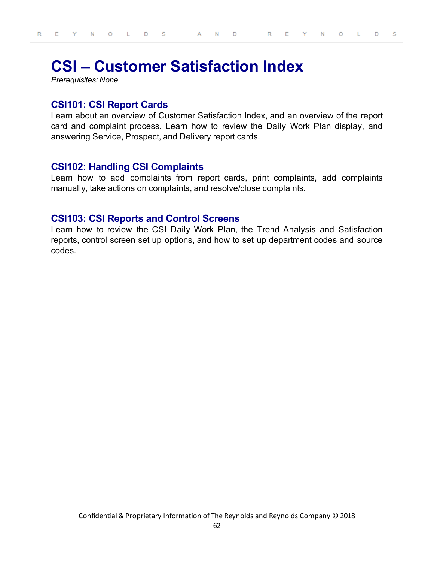# **CSI – Customer Satisfaction Index**

*Prerequisites: None*

## **CSI101: CSI Report Cards**

Learn about an overview of Customer Satisfaction Index, and an overview of the report card and complaint process. Learn how to review the Daily Work Plan display, and answering Service, Prospect, and Delivery report cards.

## **CSI102: Handling CSI Complaints**

Learn how to add complaints from report cards, print complaints, add complaints manually, take actions on complaints, and resolve/close complaints.

## **CSI103: CSI Reports and Control Screens**

Learn how to review the CSI Daily Work Plan, the Trend Analysis and Satisfaction reports, control screen set up options, and how to set up department codes and source codes.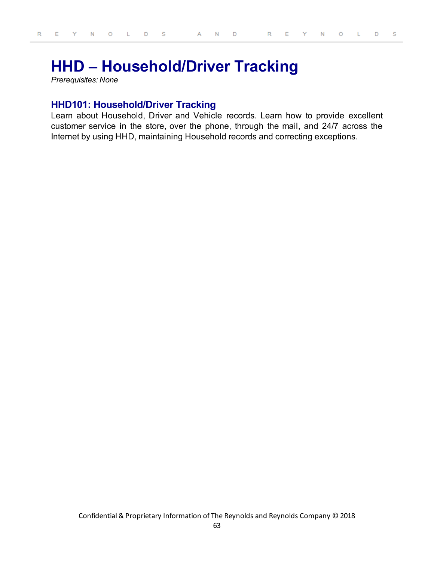# **HHD – Household/Driver Tracking**

*Prerequisites: None*

# **HHD101: Household/Driver Tracking**

Learn about Household, Driver and Vehicle records. Learn how to provide excellent customer service in the store, over the phone, through the mail, and 24/7 across the Internet by using HHD, maintaining Household records and correcting exceptions.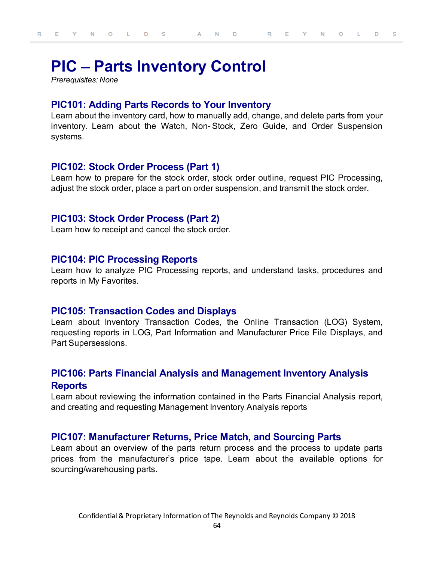# **PIC – Parts Inventory Control**

*Prerequisites: None*

## **PIC101: Adding Parts Records to Your Inventory**

Learn about the inventory card, how to manually add, change, and delete parts from your inventory. Learn about the Watch, Non- Stock, Zero Guide, and Order Suspension systems.

### **PIC102: Stock Order Process (Part 1)**

Learn how to prepare for the stock order, stock order outline, request PIC Processing, adjust the stock order, place a part on order suspension, and transmit the stock order.

## **PIC103: Stock Order Process (Part 2)**

Learn how to receipt and cancel the stock order.

### **PIC104: PIC Processing Reports**

Learn how to analyze PIC Processing reports, and understand tasks, procedures and reports in My Favorites.

### **PIC105: Transaction Codes and Displays**

Learn about Inventory Transaction Codes, the Online Transaction (LOG) System, requesting reports in LOG, Part Information and Manufacturer Price File Displays, and Part Supersessions.

# **PIC106: Parts Financial Analysis and Management Inventory Analysis Reports**

Learn about reviewing the information contained in the Parts Financial Analysis report, and creating and requesting Management Inventory Analysis reports

### **PIC107: Manufacturer Returns, Price Match, and Sourcing Parts**

Learn about an overview of the parts return process and the process to update parts prices from the manufacturer's price tape. Learn about the available options for sourcing/warehousing parts.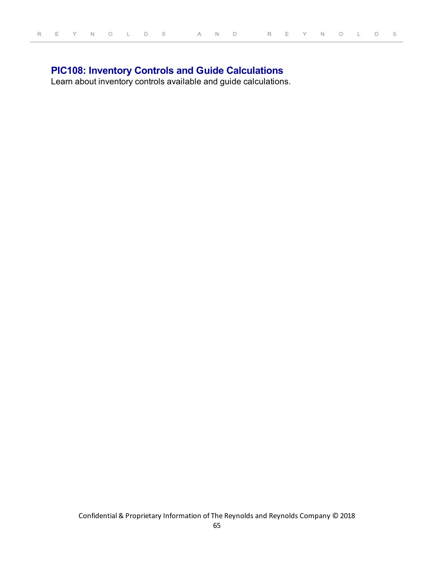# **PIC108: Inventory Controls and Guide Calculations**

Learn about inventory controls available and guide calculations.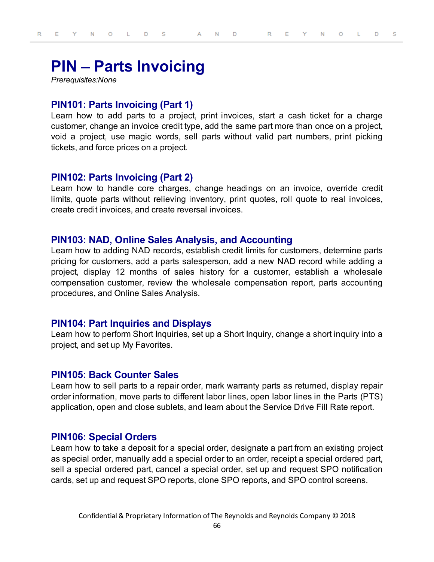# **PIN – Parts Invoicing**

*Prerequisites:None*

## **PIN101: Parts Invoicing (Part 1)**

Learn how to add parts to a project, print invoices, start a cash ticket for a charge customer, change an invoice credit type, add the same part more than once on a project, void a project, use magic words, sell parts without valid part numbers, print picking tickets, and force prices on a project.

## **PIN102: Parts Invoicing (Part 2)**

Learn how to handle core charges, change headings on an invoice, override credit limits, quote parts without relieving inventory, print quotes, roll quote to real invoices, create credit invoices, and create reversal invoices.

### **PIN103: NAD, Online Sales Analysis, and Accounting**

Learn how to adding NAD records, establish credit limits for customers, determine parts pricing for customers, add a parts salesperson, add a new NAD record while adding a project, display 12 months of sales history for a customer, establish a wholesale compensation customer, review the wholesale compensation report, parts accounting procedures, and Online Sales Analysis.

## **PIN104: Part Inquiries and Displays**

Learn how to perform Short Inquiries, set up a Short Inquiry, change a short inquiry into a project, and set up My Favorites.

### **PIN105: Back Counter Sales**

Learn how to sell parts to a repair order, mark warranty parts as returned, display repair order information, move parts to different labor lines, open labor lines in the Parts (PTS) application, open and close sublets, and learn about the Service Drive Fill Rate report.

### **PIN106: Special Orders**

Learn how to take a deposit for a special order, designate a part from an existing project as special order, manually add a special order to an order, receipt a special ordered part, sell a special ordered part, cancel a special order, set up and request SPO notification cards, set up and request SPO reports, clone SPO reports, and SPO control screens.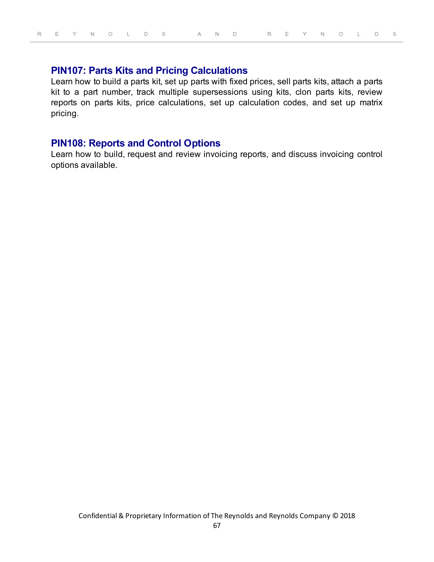## **PIN107: Parts Kits and Pricing Calculations**

Learn how to build a parts kit, set up parts with fixed prices, sell parts kits, attach a parts kit to a part number, track multiple supersessions using kits, clon parts kits, review reports on parts kits, price calculations, set up calculation codes, and set up matrix pricing.

### **PIN108: Reports and Control Options**

Learn how to build, request and review invoicing reports, and discuss invoicing control options available.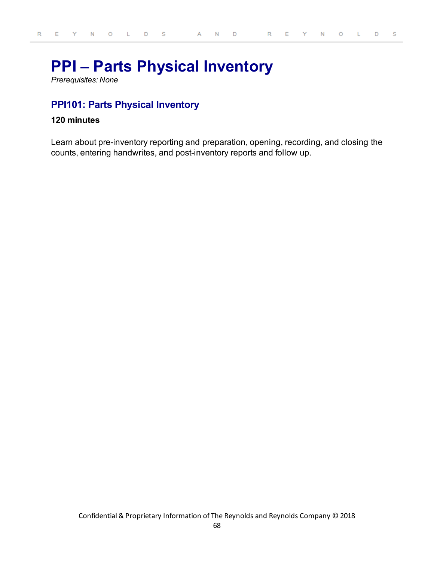# **PPI – Parts Physical Inventory**

*Prerequisites: None*

# **PPI101: Parts Physical Inventory**

#### **120 minutes**

Learn about pre-inventory reporting and preparation, opening, recording, and closing the counts, entering handwrites, and post-inventory reports and follow up.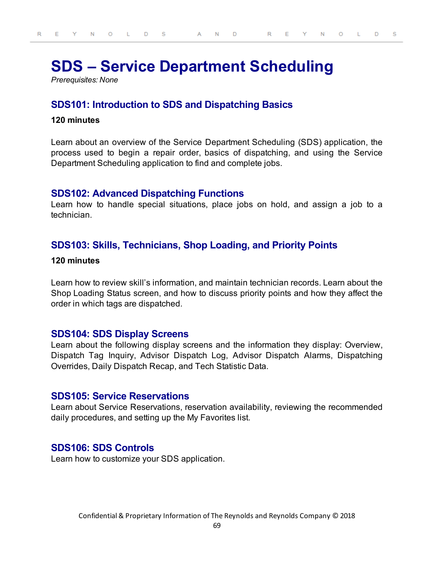# **SDS – Service Department Scheduling**

*Prerequisites: None*

# **SDS101: Introduction to SDS and Dispatching Basics**

#### **120 minutes**

Learn about an overview of the Service Department Scheduling (SDS) application, the process used to begin a repair order, basics of dispatching, and using the Service Department Scheduling application to find and complete jobs.

## **SDS102: Advanced Dispatching Functions**

Learn how to handle special situations, place jobs on hold, and assign a job to a technician.

# **SDS103: Skills, Technicians, Shop Loading, and Priority Points**

#### **120 minutes**

Learn how to review skill's information, and maintain technician records. Learn about the Shop Loading Status screen, and how to discuss priority points and how they affect the order in which tags are dispatched.

## **SDS104: SDS Display Screens**

Learn about the following display screens and the information they display: Overview, Dispatch Tag Inquiry, Advisor Dispatch Log, Advisor Dispatch Alarms, Dispatching Overrides, Daily Dispatch Recap, and Tech Statistic Data.

### **SDS105: Service Reservations**

Learn about Service Reservations, reservation availability, reviewing the recommended daily procedures, and setting up the My Favorites list.

## **SDS106: SDS Controls**

Learn how to customize your SDS application.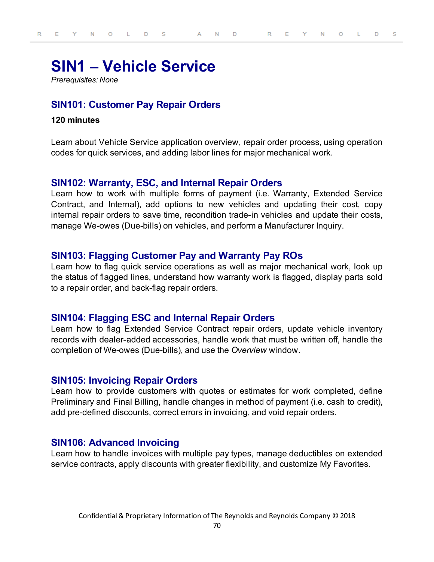# **SIN1 – Vehicle Service**

*Prerequisites: None*

# **SIN101: Customer Pay Repair Orders**

#### **120 minutes**

Learn about Vehicle Service application overview, repair order process, using operation codes for quick services, and adding labor lines for major mechanical work.

## **SIN102: Warranty, ESC, and Internal Repair Orders**

Learn how to work with multiple forms of payment (i.e. Warranty, Extended Service Contract, and Internal), add options to new vehicles and updating their cost, copy internal repair orders to save time, recondition trade-in vehicles and update their costs, manage We-owes (Due-bills) on vehicles, and perform a Manufacturer Inquiry.

## **SIN103: Flagging Customer Pay and Warranty Pay ROs**

Learn how to flag quick service operations as well as major mechanical work, look up the status of flagged lines, understand how warranty work is flagged, display parts sold to a repair order, and back-flag repair orders.

## **SIN104: Flagging ESC and Internal Repair Orders**

Learn how to flag Extended Service Contract repair orders, update vehicle inventory records with dealer-added accessories, handle work that must be written off, handle the completion of We-owes (Due-bills), and use the *Overview* window.

### **SIN105: Invoicing Repair Orders**

Learn how to provide customers with quotes or estimates for work completed, define Preliminary and Final Billing, handle changes in method of payment (i.e. cash to credit), add pre-defined discounts, correct errors in invoicing, and void repair orders.

## **SIN106: Advanced Invoicing**

Learn how to handle invoices with multiple pay types, manage deductibles on extended service contracts, apply discounts with greater flexibility, and customize My Favorites.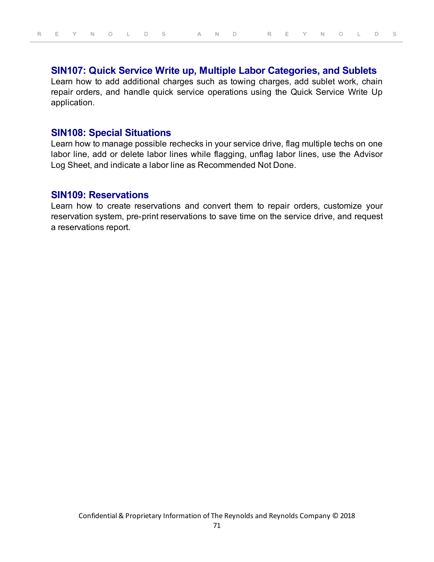# **SIN107: Quick Service Write up, Multiple Labor Categories, and Sublets**

Learn how to add additional charges such as towing charges, add sublet work, chain repair orders, and handle quick service operations using the Quick Service Write Up application.

### **SIN108: Special Situations**

Learn how to manage possible rechecks in your service drive, flag multiple techs on one labor line, add or delete labor lines while flagging, unflag labor lines, use the Advisor Log Sheet, and indicate a labor line as Recommended Not Done.

### **SIN109: Reservations**

Learn how to create reservations and convert them to repair orders, customize your reservation system, pre-print reservations to save time on the service drive, and request a reservations report.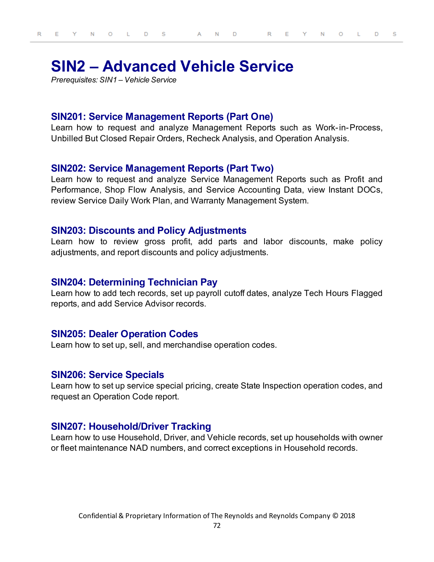# **SIN2 – Advanced Vehicle Service**

*Prerequisites: SIN1 – Vehicle Service*

## **SIN201: Service Management Reports (Part One)**

Learn how to request and analyze Management Reports such as Work-in-Process, Unbilled But Closed Repair Orders, Recheck Analysis, and Operation Analysis.

#### **SIN202: Service Management Reports (Part Two)**

Learn how to request and analyze Service Management Reports such as Profit and Performance, Shop Flow Analysis, and Service Accounting Data, view Instant DOCs, review Service Daily Work Plan, and Warranty Management System.

## **SIN203: Discounts and Policy Adjustments**

Learn how to review gross profit, add parts and labor discounts, make policy adjustments, and report discounts and policy adjustments.

#### **SIN204: Determining Technician Pay**

Learn how to add tech records, set up payroll cutoff dates, analyze Tech Hours Flagged reports, and add Service Advisor records.

#### **SIN205: Dealer Operation Codes**

Learn how to set up, sell, and merchandise operation codes.

#### **SIN206: Service Specials**

Learn how to set up service special pricing, create State Inspection operation codes, and request an Operation Code report.

## **SIN207: Household/Driver Tracking**

Learn how to use Household, Driver, and Vehicle records, set up households with owner or fleet maintenance NAD numbers, and correct exceptions in Household records.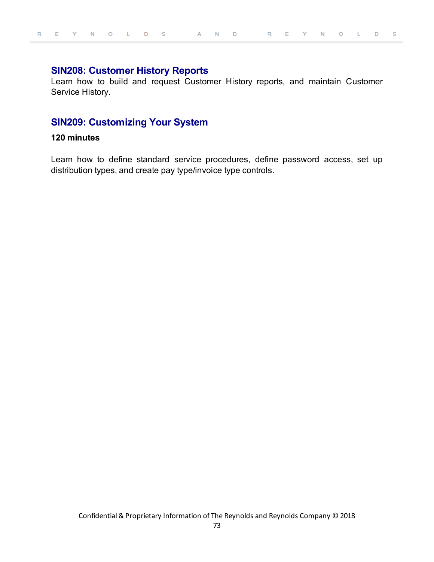## **SIN208: Customer History Reports**

Learn how to build and request Customer History reports, and maintain Customer Service History.

# **SIN209: Customizing Your System**

#### **120 minutes**

Learn how to define standard service procedures, define password access, set up distribution types, and create pay type/invoice type controls.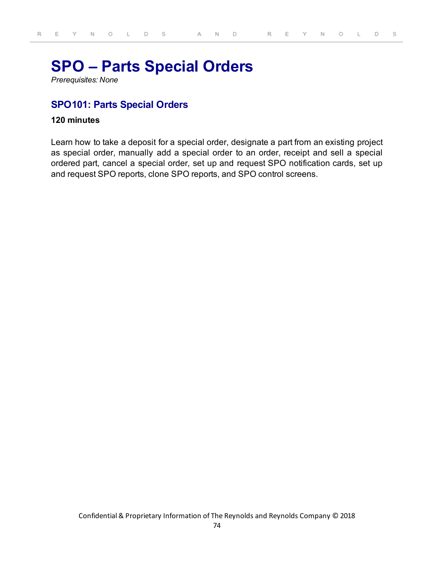# **SPO – Parts Special Orders**

*Prerequisites: None*

# **SPO101: Parts Special Orders**

#### **120 minutes**

Learn how to take a deposit for a special order, designate a part from an existing project as special order, manually add a special order to an order, receipt and sell a special ordered part, cancel a special order, set up and request SPO notification cards, set up and request SPO reports, clone SPO reports, and SPO control screens.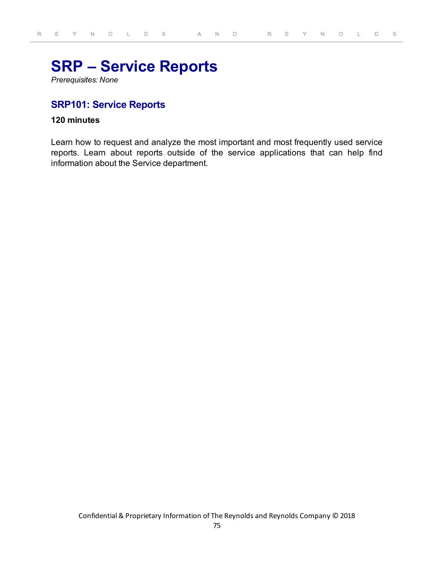# **SRP – Service Reports**

*Prerequisites: None*

## **SRP101: Service Reports**

### **120 minutes**

Learn how to request and analyze the most important and most frequently used service reports. Learn about reports outside of the service applications that can help find information about the Service department.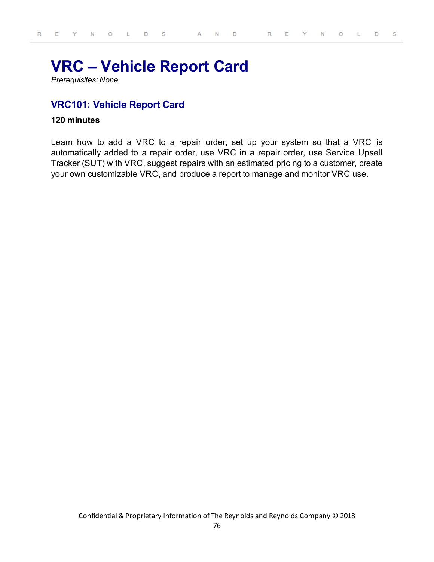# **VRC – Vehicle Report Card**

*Prerequisites: None*

## **VRC101: Vehicle Report Card**

#### **120 minutes**

Learn how to add a VRC to a repair order, set up your system so that a VRC is automatically added to a repair order, use VRC in a repair order, use Service Upsell Tracker (SUT) with VRC, suggest repairs with an estimated pricing to a customer, create your own customizable VRC, and produce a report to manage and monitor VRC use.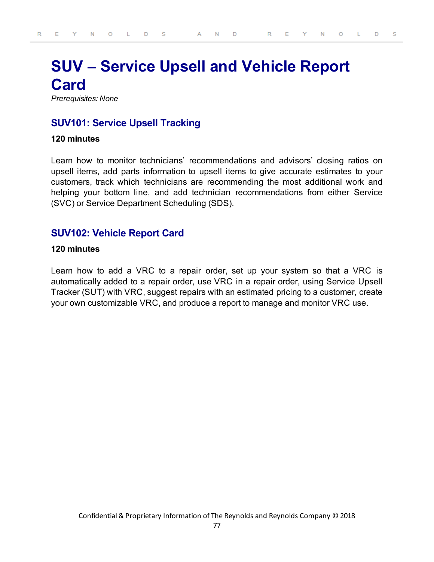# **SUV – Service Upsell and Vehicle Report Card**

*Prerequisites: None*

## **SUV101: Service Upsell Tracking**

#### **120 minutes**

Learn how to monitor technicians' recommendations and advisors' closing ratios on upsell items, add parts information to upsell items to give accurate estimates to your customers, track which technicians are recommending the most additional work and helping your bottom line, and add technician recommendations from either Service (SVC) or Service Department Scheduling (SDS).

## **SUV102: Vehicle Report Card**

### **120 minutes**

Learn how to add a VRC to a repair order, set up your system so that a VRC is automatically added to a repair order, use VRC in a repair order, using Service Upsell Tracker (SUT) with VRC, suggest repairs with an estimated pricing to a customer, create your own customizable VRC, and produce a report to manage and monitor VRC use.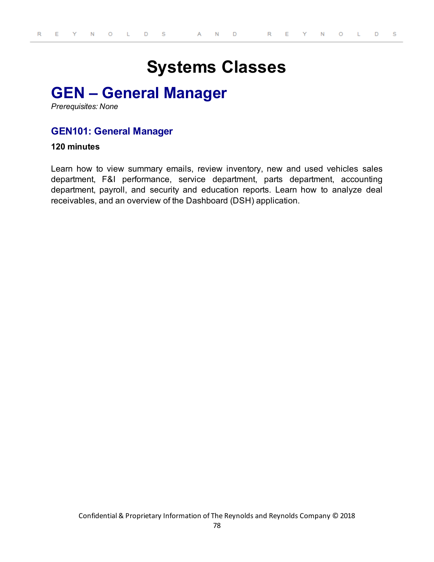# **Systems Classes**

# **GEN – General Manager**

*Prerequisites: None*

## **GEN101: General Manager**

#### **120 minutes**

Learn how to view summary emails, review inventory, new and used vehicles sales department, F&I performance, service department, parts department, accounting department, payroll, and security and education reports. Learn how to analyze deal receivables, and an overview of the Dashboard (DSH) application.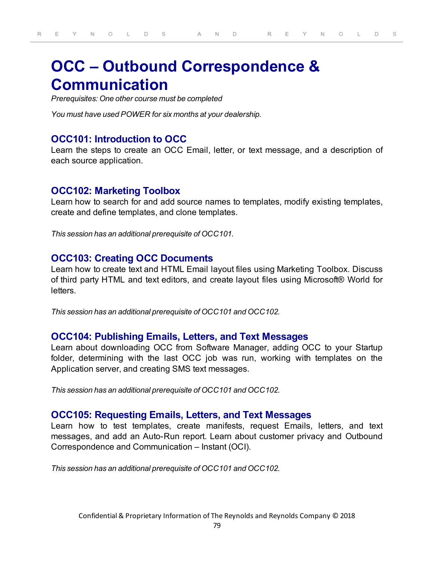# **OCC – Outbound Correspondence & Communication**

*Prerequisites: One other course must be completed*

*You must have used POWER for six months at your dealership.*

### **OCC101: Introduction to OCC**

Learn the steps to create an OCC Email, letter, or text message, and a description of each source application.

## **OCC102: Marketing Toolbox**

Learn how to search for and add source names to templates, modify existing templates, create and define templates, and clone templates.

*This session has an additional prerequisite of OCC101.*

#### **OCC103: Creating OCC Documents**

Learn how to create text and HTML Email layout files using Marketing Toolbox. Discuss of third party HTML and text editors, and create layout files using Microsoft® World for letters.

*This session has an additional prerequisite of OCC101 and OCC102.*

#### **OCC104: Publishing Emails, Letters, and Text Messages**

Learn about downloading OCC from Software Manager, adding OCC to your Startup folder, determining with the last OCC job was run, working with templates on the Application server, and creating SMS text messages.

*This session has an additional prerequisite of OCC101 and OCC102.*

#### **OCC105: Requesting Emails, Letters, and Text Messages**

Learn how to test templates, create manifests, request Emails, letters, and text messages, and add an Auto-Run report. Learn about customer privacy and Outbound Correspondence and Communication – Instant (OCI).

*This session has an additional prerequisite of OCC101 and OCC102.*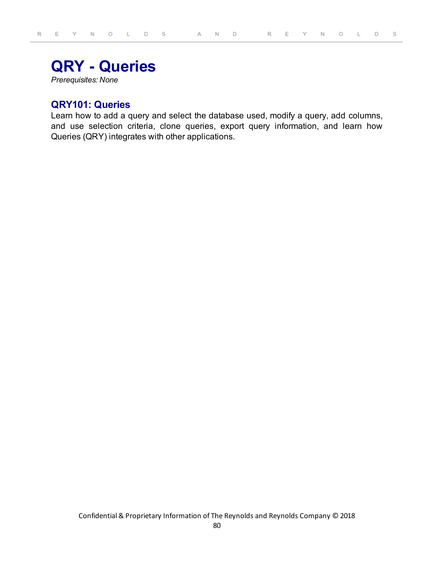# **QRY - Queries**

*Prerequisites: None*

## **QRY101: Queries**

Learn how to add a query and select the database used, modify a query, add columns, and use selection criteria, clone queries, export query information, and learn how Queries (QRY) integrates with other applications.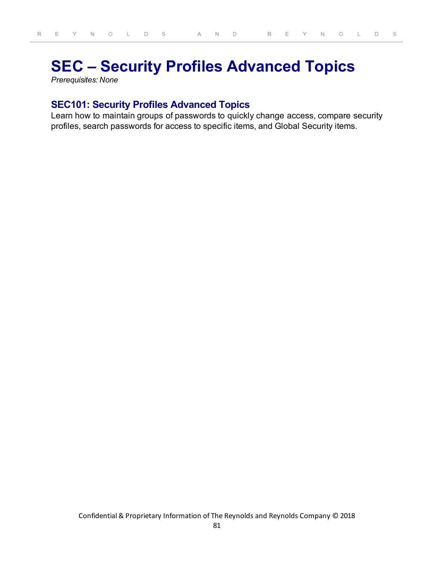# **SEC – Security Profiles Advanced Topics**

*Prerequisites: None*

## **SEC101: Security Profiles Advanced Topics**

Learn how to maintain groups of passwords to quickly change access, compare security profiles, search passwords for access to specific items, and Global Security items.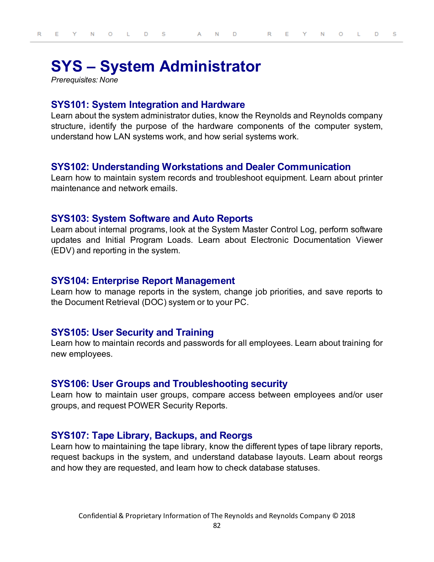# **SYS – System Administrator**

*Prerequisites: None*

# **SYS101: System Integration and Hardware**

Learn about the system administrator duties, know the Reynolds and Reynolds company structure, identify the purpose of the hardware components of the computer system, understand how LAN systems work, and how serial systems work.

## **SYS102: Understanding Workstations and Dealer Communication**

Learn how to maintain system records and troubleshoot equipment. Learn about printer maintenance and network emails.

### **SYS103: System Software and Auto Reports**

Learn about internal programs, look at the System Master Control Log, perform software updates and Initial Program Loads. Learn about Electronic Documentation Viewer (EDV) and reporting in the system.

#### **SYS104: Enterprise Report Management**

Learn how to manage reports in the system, change job priorities, and save reports to the Document Retrieval (DOC) system or to your PC.

### **SYS105: User Security and Training**

Learn how to maintain records and passwords for all employees. Learn about training for new employees.

#### **SYS106: User Groups and Troubleshooting security**

Learn how to maintain user groups, compare access between employees and/or user groups, and request POWER Security Reports.

## **SYS107: Tape Library, Backups, and Reorgs**

Learn how to maintaining the tape library, know the different types of tape library reports, request backups in the system, and understand database layouts. Learn about reorgs and how they are requested, and learn how to check database statuses.